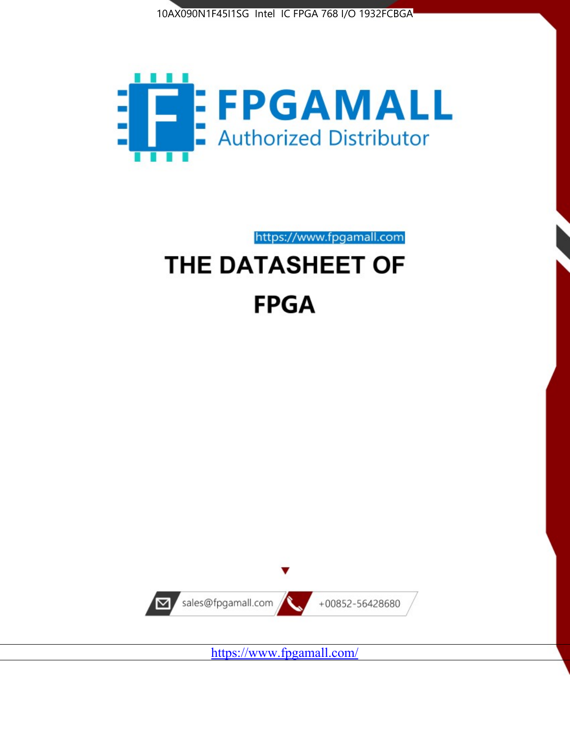



https://www.fpgamall.com

# THE DATASHEET OF **FPGA**



<https://www.fpgamall.com/>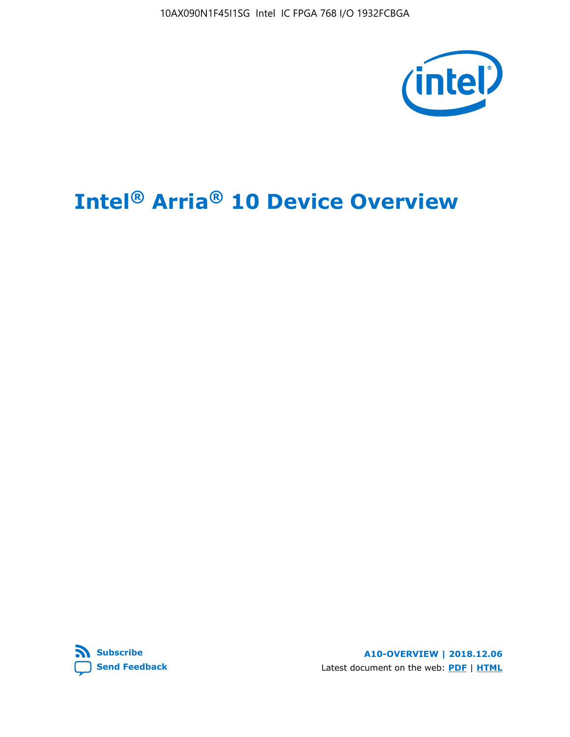10AX090N1F45I1SG Intel IC FPGA 768 I/O 1932FCBGA



# **Intel® Arria® 10 Device Overview**



**A10-OVERVIEW | 2018.12.06** Latest document on the web: **[PDF](https://www.intel.com/content/dam/www/programmable/us/en/pdfs/literature/hb/arria-10/a10_overview.pdf)** | **[HTML](https://www.intel.com/content/www/us/en/programmable/documentation/sam1403480274650.html)**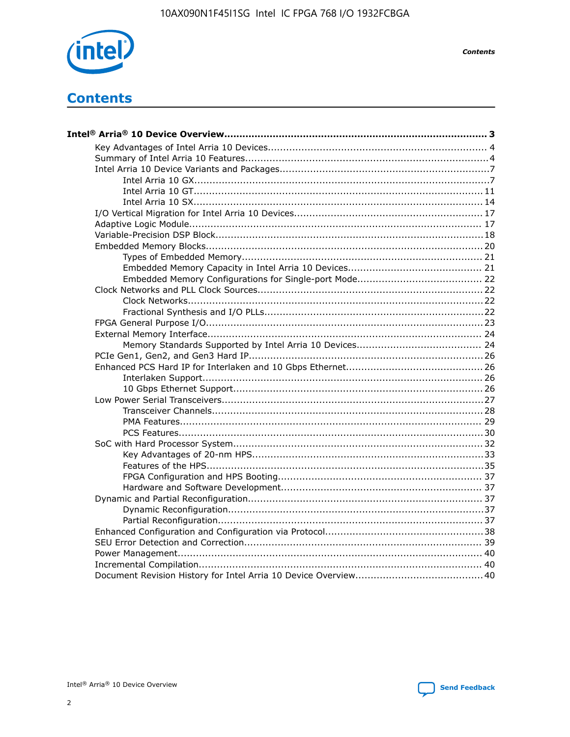

**Contents** 

# **Contents**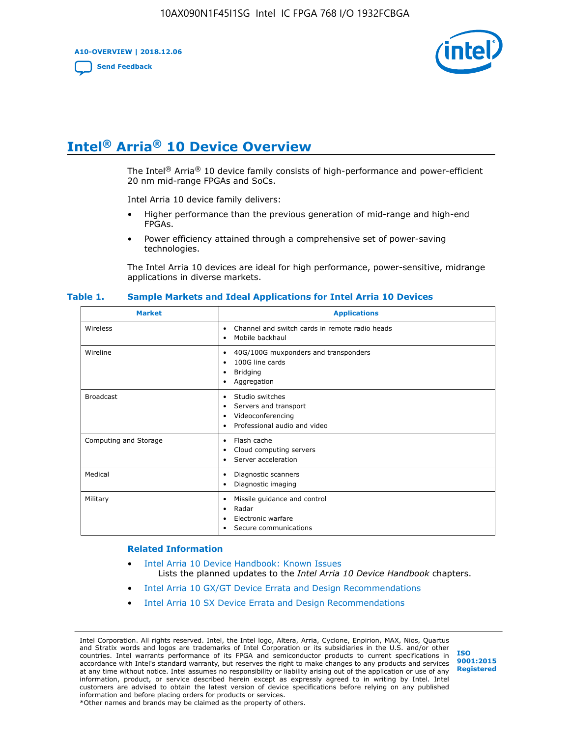**A10-OVERVIEW | 2018.12.06**

**[Send Feedback](mailto:FPGAtechdocfeedback@intel.com?subject=Feedback%20on%20Intel%20Arria%2010%20Device%20Overview%20(A10-OVERVIEW%202018.12.06)&body=We%20appreciate%20your%20feedback.%20In%20your%20comments,%20also%20specify%20the%20page%20number%20or%20paragraph.%20Thank%20you.)**



# **Intel® Arria® 10 Device Overview**

The Intel<sup>®</sup> Arria<sup>®</sup> 10 device family consists of high-performance and power-efficient 20 nm mid-range FPGAs and SoCs.

Intel Arria 10 device family delivers:

- Higher performance than the previous generation of mid-range and high-end FPGAs.
- Power efficiency attained through a comprehensive set of power-saving technologies.

The Intel Arria 10 devices are ideal for high performance, power-sensitive, midrange applications in diverse markets.

| <b>Market</b>         | <b>Applications</b>                                                                                               |
|-----------------------|-------------------------------------------------------------------------------------------------------------------|
| Wireless              | Channel and switch cards in remote radio heads<br>٠<br>Mobile backhaul<br>٠                                       |
| Wireline              | 40G/100G muxponders and transponders<br>٠<br>100G line cards<br>٠<br><b>Bridging</b><br>٠<br>Aggregation<br>٠     |
| <b>Broadcast</b>      | Studio switches<br>٠<br>Servers and transport<br>٠<br>Videoconferencing<br>٠<br>Professional audio and video<br>٠ |
| Computing and Storage | Flash cache<br>٠<br>Cloud computing servers<br>٠<br>Server acceleration<br>٠                                      |
| Medical               | Diagnostic scanners<br>٠<br>Diagnostic imaging<br>٠                                                               |
| Military              | Missile guidance and control<br>٠<br>Radar<br>٠<br>Electronic warfare<br>٠<br>Secure communications<br>٠          |

#### **Table 1. Sample Markets and Ideal Applications for Intel Arria 10 Devices**

#### **Related Information**

- [Intel Arria 10 Device Handbook: Known Issues](http://www.altera.com/support/kdb/solutions/rd07302013_646.html) Lists the planned updates to the *Intel Arria 10 Device Handbook* chapters.
- [Intel Arria 10 GX/GT Device Errata and Design Recommendations](https://www.intel.com/content/www/us/en/programmable/documentation/agz1493851706374.html#yqz1494433888646)
- [Intel Arria 10 SX Device Errata and Design Recommendations](https://www.intel.com/content/www/us/en/programmable/documentation/cru1462832385668.html#cru1462832558642)

Intel Corporation. All rights reserved. Intel, the Intel logo, Altera, Arria, Cyclone, Enpirion, MAX, Nios, Quartus and Stratix words and logos are trademarks of Intel Corporation or its subsidiaries in the U.S. and/or other countries. Intel warrants performance of its FPGA and semiconductor products to current specifications in accordance with Intel's standard warranty, but reserves the right to make changes to any products and services at any time without notice. Intel assumes no responsibility or liability arising out of the application or use of any information, product, or service described herein except as expressly agreed to in writing by Intel. Intel customers are advised to obtain the latest version of device specifications before relying on any published information and before placing orders for products or services. \*Other names and brands may be claimed as the property of others.

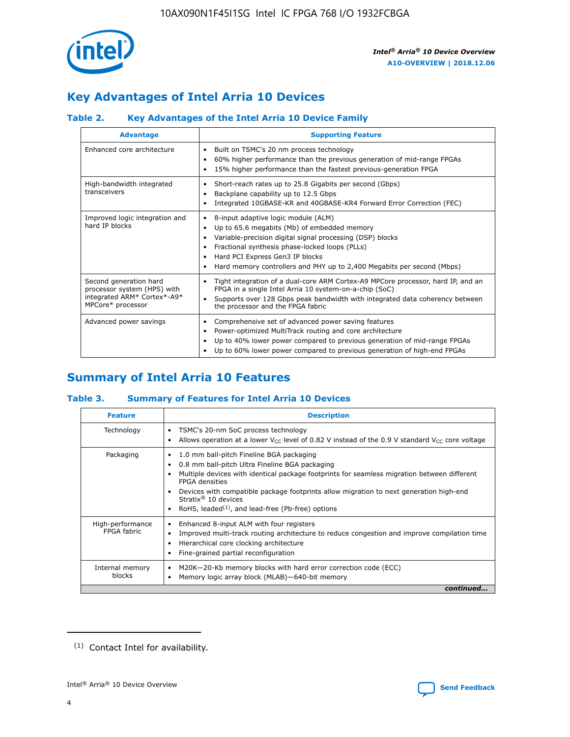

# **Key Advantages of Intel Arria 10 Devices**

# **Table 2. Key Advantages of the Intel Arria 10 Device Family**

| <b>Advantage</b>                                                                                          | <b>Supporting Feature</b>                                                                                                                                                                                                                                                                                                |  |  |  |  |  |
|-----------------------------------------------------------------------------------------------------------|--------------------------------------------------------------------------------------------------------------------------------------------------------------------------------------------------------------------------------------------------------------------------------------------------------------------------|--|--|--|--|--|
| Enhanced core architecture                                                                                | Built on TSMC's 20 nm process technology<br>٠<br>60% higher performance than the previous generation of mid-range FPGAs<br>٠<br>15% higher performance than the fastest previous-generation FPGA<br>٠                                                                                                                    |  |  |  |  |  |
| High-bandwidth integrated<br>transceivers                                                                 | Short-reach rates up to 25.8 Gigabits per second (Gbps)<br>٠<br>Backplane capability up to 12.5 Gbps<br>٠<br>Integrated 10GBASE-KR and 40GBASE-KR4 Forward Error Correction (FEC)<br>٠                                                                                                                                   |  |  |  |  |  |
| Improved logic integration and<br>hard IP blocks                                                          | 8-input adaptive logic module (ALM)<br>٠<br>Up to 65.6 megabits (Mb) of embedded memory<br>٠<br>Variable-precision digital signal processing (DSP) blocks<br>Fractional synthesis phase-locked loops (PLLs)<br>Hard PCI Express Gen3 IP blocks<br>Hard memory controllers and PHY up to 2,400 Megabits per second (Mbps) |  |  |  |  |  |
| Second generation hard<br>processor system (HPS) with<br>integrated ARM* Cortex*-A9*<br>MPCore* processor | Tight integration of a dual-core ARM Cortex-A9 MPCore processor, hard IP, and an<br>٠<br>FPGA in a single Intel Arria 10 system-on-a-chip (SoC)<br>Supports over 128 Gbps peak bandwidth with integrated data coherency between<br>$\bullet$<br>the processor and the FPGA fabric                                        |  |  |  |  |  |
| Advanced power savings                                                                                    | Comprehensive set of advanced power saving features<br>٠<br>Power-optimized MultiTrack routing and core architecture<br>٠<br>Up to 40% lower power compared to previous generation of mid-range FPGAs<br>٠<br>Up to 60% lower power compared to previous generation of high-end FPGAs                                    |  |  |  |  |  |

# **Summary of Intel Arria 10 Features**

### **Table 3. Summary of Features for Intel Arria 10 Devices**

| <b>Feature</b>                  | <b>Description</b>                                                                                                                                                                                                                                                                                                                                                                                       |
|---------------------------------|----------------------------------------------------------------------------------------------------------------------------------------------------------------------------------------------------------------------------------------------------------------------------------------------------------------------------------------------------------------------------------------------------------|
| Technology                      | TSMC's 20-nm SoC process technology<br>٠<br>Allows operation at a lower $V_{\text{CC}}$ level of 0.82 V instead of the 0.9 V standard $V_{\text{CC}}$ core voltage                                                                                                                                                                                                                                       |
| Packaging                       | 1.0 mm ball-pitch Fineline BGA packaging<br>0.8 mm ball-pitch Ultra Fineline BGA packaging<br>Multiple devices with identical package footprints for seamless migration between different<br><b>FPGA</b> densities<br>Devices with compatible package footprints allow migration to next generation high-end<br>Stratix $\mathcal{R}$ 10 devices<br>RoHS, leaded $(1)$ , and lead-free (Pb-free) options |
| High-performance<br>FPGA fabric | Enhanced 8-input ALM with four registers<br>٠<br>Improved multi-track routing architecture to reduce congestion and improve compilation time<br>Hierarchical core clocking architecture<br>Fine-grained partial reconfiguration                                                                                                                                                                          |
| Internal memory<br>blocks       | M20K-20-Kb memory blocks with hard error correction code (ECC)<br>Memory logic array block (MLAB)-640-bit memory                                                                                                                                                                                                                                                                                         |
|                                 | continued                                                                                                                                                                                                                                                                                                                                                                                                |



<sup>(1)</sup> Contact Intel for availability.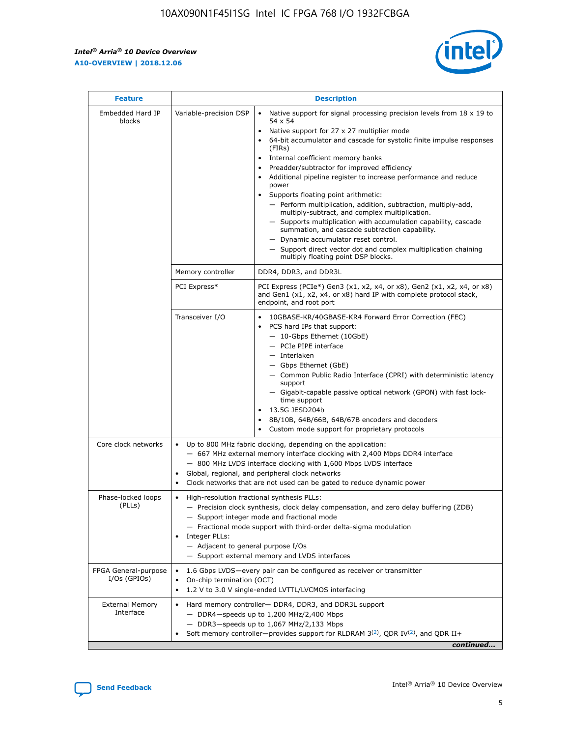r



| <b>Feature</b>                         |                                                                                                                | <b>Description</b>                                                                                                                                                                                                                                                                                                                                                                                                                                                                                                                                                                                                                                                                                                                                                                                                                     |  |  |  |  |  |  |  |
|----------------------------------------|----------------------------------------------------------------------------------------------------------------|----------------------------------------------------------------------------------------------------------------------------------------------------------------------------------------------------------------------------------------------------------------------------------------------------------------------------------------------------------------------------------------------------------------------------------------------------------------------------------------------------------------------------------------------------------------------------------------------------------------------------------------------------------------------------------------------------------------------------------------------------------------------------------------------------------------------------------------|--|--|--|--|--|--|--|
| Embedded Hard IP<br>blocks             | Variable-precision DSP                                                                                         | Native support for signal processing precision levels from $18 \times 19$ to<br>54 x 54<br>Native support for 27 x 27 multiplier mode<br>64-bit accumulator and cascade for systolic finite impulse responses<br>(FIRs)<br>Internal coefficient memory banks<br>$\bullet$<br>Preadder/subtractor for improved efficiency<br>Additional pipeline register to increase performance and reduce<br>power<br>Supports floating point arithmetic:<br>- Perform multiplication, addition, subtraction, multiply-add,<br>multiply-subtract, and complex multiplication.<br>- Supports multiplication with accumulation capability, cascade<br>summation, and cascade subtraction capability.<br>- Dynamic accumulator reset control.<br>- Support direct vector dot and complex multiplication chaining<br>multiply floating point DSP blocks. |  |  |  |  |  |  |  |
|                                        | Memory controller                                                                                              | DDR4, DDR3, and DDR3L                                                                                                                                                                                                                                                                                                                                                                                                                                                                                                                                                                                                                                                                                                                                                                                                                  |  |  |  |  |  |  |  |
|                                        | PCI Express*                                                                                                   | PCI Express (PCIe*) Gen3 (x1, x2, x4, or x8), Gen2 (x1, x2, x4, or x8)<br>and Gen1 (x1, x2, x4, or x8) hard IP with complete protocol stack,<br>endpoint, and root port                                                                                                                                                                                                                                                                                                                                                                                                                                                                                                                                                                                                                                                                |  |  |  |  |  |  |  |
|                                        | Transceiver I/O                                                                                                | 10GBASE-KR/40GBASE-KR4 Forward Error Correction (FEC)<br>PCS hard IPs that support:<br>$\bullet$<br>- 10-Gbps Ethernet (10GbE)<br>- PCIe PIPE interface<br>$-$ Interlaken<br>- Gbps Ethernet (GbE)<br>- Common Public Radio Interface (CPRI) with deterministic latency<br>support<br>- Gigabit-capable passive optical network (GPON) with fast lock-<br>time support<br>13.5G JESD204b<br>$\bullet$<br>8B/10B, 64B/66B, 64B/67B encoders and decoders<br>Custom mode support for proprietary protocols                                                                                                                                                                                                                                                                                                                               |  |  |  |  |  |  |  |
| Core clock networks                    | $\bullet$<br>$\bullet$                                                                                         | Up to 800 MHz fabric clocking, depending on the application:<br>- 667 MHz external memory interface clocking with 2,400 Mbps DDR4 interface<br>- 800 MHz LVDS interface clocking with 1,600 Mbps LVDS interface<br>Global, regional, and peripheral clock networks<br>Clock networks that are not used can be gated to reduce dynamic power                                                                                                                                                                                                                                                                                                                                                                                                                                                                                            |  |  |  |  |  |  |  |
| Phase-locked loops<br>(PLLs)           | High-resolution fractional synthesis PLLs:<br>$\bullet$<br>Integer PLLs:<br>- Adjacent to general purpose I/Os | - Precision clock synthesis, clock delay compensation, and zero delay buffering (ZDB)<br>- Support integer mode and fractional mode<br>- Fractional mode support with third-order delta-sigma modulation<br>- Support external memory and LVDS interfaces                                                                                                                                                                                                                                                                                                                                                                                                                                                                                                                                                                              |  |  |  |  |  |  |  |
| FPGA General-purpose<br>$I/Os$ (GPIOs) | On-chip termination (OCT)                                                                                      | 1.6 Gbps LVDS-every pair can be configured as receiver or transmitter<br>1.2 V to 3.0 V single-ended LVTTL/LVCMOS interfacing                                                                                                                                                                                                                                                                                                                                                                                                                                                                                                                                                                                                                                                                                                          |  |  |  |  |  |  |  |
| <b>External Memory</b><br>Interface    |                                                                                                                | Hard memory controller- DDR4, DDR3, and DDR3L support<br>$-$ DDR4 $-$ speeds up to 1,200 MHz/2,400 Mbps<br>- DDR3-speeds up to 1,067 MHz/2,133 Mbps<br>Soft memory controller—provides support for RLDRAM $3^{(2)}$ , QDR IV $^{(2)}$ , and QDR II+<br>continued                                                                                                                                                                                                                                                                                                                                                                                                                                                                                                                                                                       |  |  |  |  |  |  |  |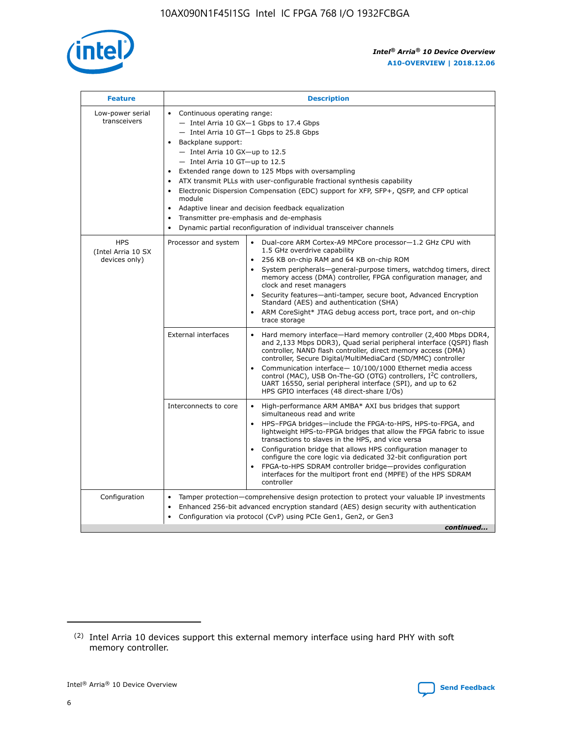

| <b>Feature</b>                                    | <b>Description</b>                                                                                                                                                                                                                                                                                                                                                                                                                                                                                                                                                                                                                             |  |  |  |  |  |  |  |
|---------------------------------------------------|------------------------------------------------------------------------------------------------------------------------------------------------------------------------------------------------------------------------------------------------------------------------------------------------------------------------------------------------------------------------------------------------------------------------------------------------------------------------------------------------------------------------------------------------------------------------------------------------------------------------------------------------|--|--|--|--|--|--|--|
| Low-power serial<br>transceivers                  | • Continuous operating range:<br>- Intel Arria 10 GX-1 Gbps to 17.4 Gbps<br>- Intel Arria 10 GT-1 Gbps to 25.8 Gbps<br>Backplane support:<br>$-$ Intel Arria 10 GX-up to 12.5<br>$-$ Intel Arria 10 GT-up to 12.5<br>Extended range down to 125 Mbps with oversampling<br>ATX transmit PLLs with user-configurable fractional synthesis capability<br>• Electronic Dispersion Compensation (EDC) support for XFP, SFP+, QSFP, and CFP optical<br>module<br>• Adaptive linear and decision feedback equalization<br>Transmitter pre-emphasis and de-emphasis<br>$\bullet$<br>Dynamic partial reconfiguration of individual transceiver channels |  |  |  |  |  |  |  |
| <b>HPS</b><br>(Intel Arria 10 SX<br>devices only) | Processor and system<br>Dual-core ARM Cortex-A9 MPCore processor-1.2 GHz CPU with<br>$\bullet$<br>1.5 GHz overdrive capability<br>256 KB on-chip RAM and 64 KB on-chip ROM<br>$\bullet$<br>System peripherals-general-purpose timers, watchdog timers, direct<br>memory access (DMA) controller, FPGA configuration manager, and<br>clock and reset managers<br>• Security features—anti-tamper, secure boot, Advanced Encryption<br>Standard (AES) and authentication (SHA)<br>ARM CoreSight* JTAG debug access port, trace port, and on-chip<br>trace storage                                                                                |  |  |  |  |  |  |  |
|                                                   | <b>External interfaces</b><br>Hard memory interface—Hard memory controller (2,400 Mbps DDR4,<br>$\bullet$<br>and 2,133 Mbps DDR3), Quad serial peripheral interface (QSPI) flash<br>controller, NAND flash controller, direct memory access (DMA)<br>controller, Secure Digital/MultiMediaCard (SD/MMC) controller<br>Communication interface-10/100/1000 Ethernet media access<br>control (MAC), USB On-The-GO (OTG) controllers, I <sup>2</sup> C controllers,<br>UART 16550, serial peripheral interface (SPI), and up to 62<br>HPS GPIO interfaces (48 direct-share I/Os)                                                                  |  |  |  |  |  |  |  |
|                                                   | High-performance ARM AMBA* AXI bus bridges that support<br>Interconnects to core<br>$\bullet$<br>simultaneous read and write<br>HPS-FPGA bridges—include the FPGA-to-HPS, HPS-to-FPGA, and<br>$\bullet$<br>lightweight HPS-to-FPGA bridges that allow the FPGA fabric to issue<br>transactions to slaves in the HPS, and vice versa<br>Configuration bridge that allows HPS configuration manager to<br>configure the core logic via dedicated 32-bit configuration port<br>FPGA-to-HPS SDRAM controller bridge-provides configuration<br>interfaces for the multiport front end (MPFE) of the HPS SDRAM<br>controller                         |  |  |  |  |  |  |  |
| Configuration                                     | Tamper protection—comprehensive design protection to protect your valuable IP investments<br>Enhanced 256-bit advanced encryption standard (AES) design security with authentication<br>$\bullet$<br>Configuration via protocol (CvP) using PCIe Gen1, Gen2, or Gen3<br>continued                                                                                                                                                                                                                                                                                                                                                              |  |  |  |  |  |  |  |

<sup>(2)</sup> Intel Arria 10 devices support this external memory interface using hard PHY with soft memory controller.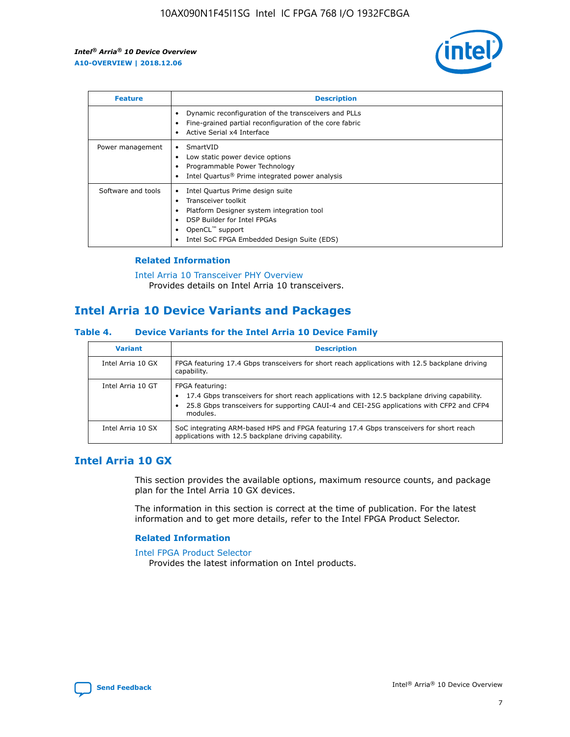

| <b>Feature</b>     | <b>Description</b>                                                                                                                                                                                                            |
|--------------------|-------------------------------------------------------------------------------------------------------------------------------------------------------------------------------------------------------------------------------|
|                    | Dynamic reconfiguration of the transceivers and PLLs<br>Fine-grained partial reconfiguration of the core fabric<br>Active Serial x4 Interface<br>$\bullet$                                                                    |
| Power management   | SmartVID<br>Low static power device options<br>Programmable Power Technology<br>Intel Quartus <sup>®</sup> Prime integrated power analysis                                                                                    |
| Software and tools | Intel Quartus Prime design suite<br>Transceiver toolkit<br>$\bullet$<br>Platform Designer system integration tool<br>DSP Builder for Intel FPGAs<br>OpenCL <sup>™</sup> support<br>Intel SoC FPGA Embedded Design Suite (EDS) |

### **Related Information**

[Intel Arria 10 Transceiver PHY Overview](https://www.intel.com/content/www/us/en/programmable/documentation/nik1398707230472.html#nik1398706768037) Provides details on Intel Arria 10 transceivers.

# **Intel Arria 10 Device Variants and Packages**

### **Table 4. Device Variants for the Intel Arria 10 Device Family**

| <b>Variant</b>    | <b>Description</b>                                                                                                                                                                                                     |
|-------------------|------------------------------------------------------------------------------------------------------------------------------------------------------------------------------------------------------------------------|
| Intel Arria 10 GX | FPGA featuring 17.4 Gbps transceivers for short reach applications with 12.5 backplane driving<br>capability.                                                                                                          |
| Intel Arria 10 GT | FPGA featuring:<br>17.4 Gbps transceivers for short reach applications with 12.5 backplane driving capability.<br>25.8 Gbps transceivers for supporting CAUI-4 and CEI-25G applications with CFP2 and CFP4<br>modules. |
| Intel Arria 10 SX | SoC integrating ARM-based HPS and FPGA featuring 17.4 Gbps transceivers for short reach<br>applications with 12.5 backplane driving capability.                                                                        |

# **Intel Arria 10 GX**

This section provides the available options, maximum resource counts, and package plan for the Intel Arria 10 GX devices.

The information in this section is correct at the time of publication. For the latest information and to get more details, refer to the Intel FPGA Product Selector.

### **Related Information**

#### [Intel FPGA Product Selector](http://www.altera.com/products/selector/psg-selector.html) Provides the latest information on Intel products.

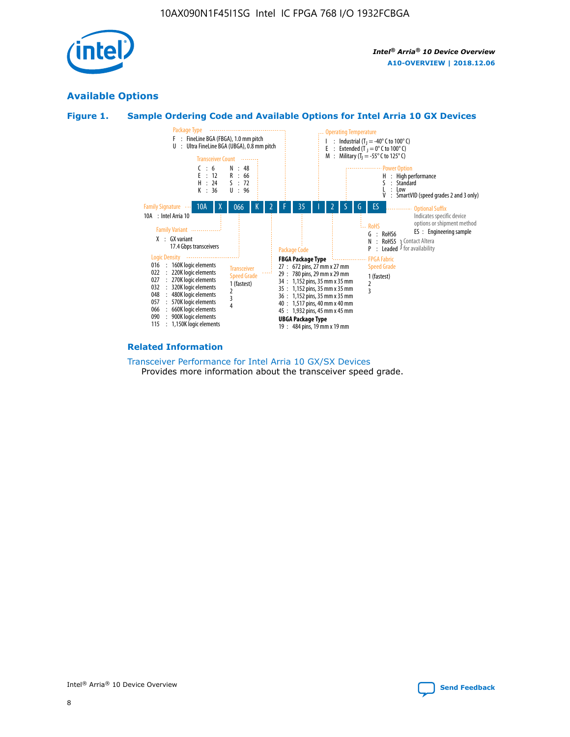

# **Available Options**





### **Related Information**

[Transceiver Performance for Intel Arria 10 GX/SX Devices](https://www.intel.com/content/www/us/en/programmable/documentation/mcn1413182292568.html#mcn1413213965502) Provides more information about the transceiver speed grade.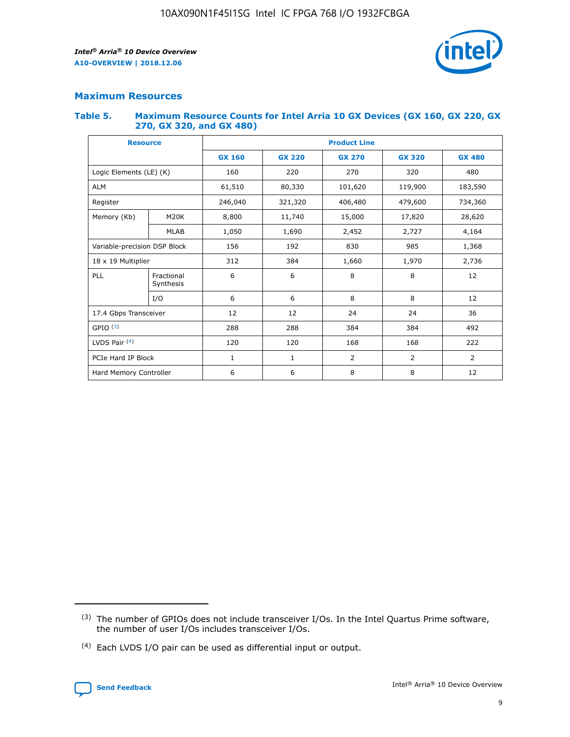

### **Maximum Resources**

### **Table 5. Maximum Resource Counts for Intel Arria 10 GX Devices (GX 160, GX 220, GX 270, GX 320, and GX 480)**

| <b>Resource</b>              |                         | <b>Product Line</b> |                                |                  |                |                |  |  |  |
|------------------------------|-------------------------|---------------------|--------------------------------|------------------|----------------|----------------|--|--|--|
|                              |                         | <b>GX 160</b>       | <b>GX 220</b><br><b>GX 270</b> |                  | <b>GX 320</b>  | <b>GX 480</b>  |  |  |  |
| Logic Elements (LE) (K)      |                         | 160                 | 220                            | 270              | 320            | 480            |  |  |  |
| <b>ALM</b>                   |                         | 61,510              | 80,330                         | 101,620          | 119,900        | 183,590        |  |  |  |
| Register                     |                         | 246,040             | 321,320                        | 406,480          |                | 734,360        |  |  |  |
| Memory (Kb)                  | M <sub>20</sub> K       | 8,800               | 11,740                         | 15,000<br>17,820 |                | 28,620         |  |  |  |
| <b>MLAB</b>                  |                         | 1,050               | 1,690<br>2,452<br>2,727        |                  |                | 4,164          |  |  |  |
| Variable-precision DSP Block |                         | 156                 | 985<br>192<br>830              |                  |                | 1,368          |  |  |  |
| 18 x 19 Multiplier           |                         | 312                 | 384                            | 1,660<br>1,970   |                | 2,736          |  |  |  |
| PLL                          | Fractional<br>Synthesis | 6                   | 6                              | 8                | 8              | 12             |  |  |  |
|                              | I/O                     | 6                   | 6                              | 8                | 8              | 12             |  |  |  |
| 17.4 Gbps Transceiver        |                         | 12                  | 12                             | 24               | 24             |                |  |  |  |
| GPIO <sup>(3)</sup>          |                         | 288                 | 288<br>384<br>384              |                  |                | 492            |  |  |  |
| LVDS Pair $(4)$              |                         | 120                 | 120                            | 168              | 168            | 222            |  |  |  |
| PCIe Hard IP Block           |                         | $\mathbf{1}$        | 1                              | $\overline{2}$   | $\overline{2}$ | $\overline{2}$ |  |  |  |
| Hard Memory Controller       |                         | 6                   | 6                              | 8                | 8              | 12             |  |  |  |

<sup>(4)</sup> Each LVDS I/O pair can be used as differential input or output.



<sup>(3)</sup> The number of GPIOs does not include transceiver I/Os. In the Intel Quartus Prime software, the number of user I/Os includes transceiver I/Os.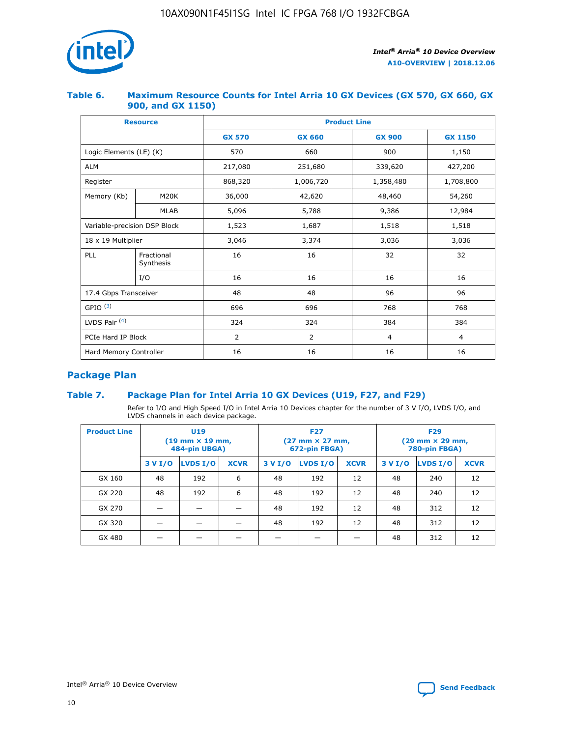

### **Table 6. Maximum Resource Counts for Intel Arria 10 GX Devices (GX 570, GX 660, GX 900, and GX 1150)**

|                              | <b>Resource</b>         | <b>Product Line</b> |                |                |                |  |  |  |  |
|------------------------------|-------------------------|---------------------|----------------|----------------|----------------|--|--|--|--|
|                              |                         | <b>GX 570</b>       | <b>GX 660</b>  | <b>GX 900</b>  | <b>GX 1150</b> |  |  |  |  |
| Logic Elements (LE) (K)      |                         | 570                 | 660            | 900            | 1,150          |  |  |  |  |
| <b>ALM</b>                   |                         | 217,080             | 251,680        | 339,620        | 427,200        |  |  |  |  |
| Register                     |                         | 868,320             | 1,006,720      | 1,358,480      | 1,708,800      |  |  |  |  |
| Memory (Kb)                  | <b>M20K</b>             | 36,000              | 42,620         | 48,460         | 54,260         |  |  |  |  |
|                              | <b>MLAB</b>             | 5,096               | 5,788          | 9,386          | 12,984         |  |  |  |  |
| Variable-precision DSP Block |                         | 1,523               | 1,687          | 1,518          | 1,518          |  |  |  |  |
| $18 \times 19$ Multiplier    |                         | 3,046               | 3,374          | 3,036          | 3,036          |  |  |  |  |
| PLL                          | Fractional<br>Synthesis | 16                  | 16             | 32             | 32             |  |  |  |  |
|                              | I/O                     | 16                  | 16             | 16             | 16             |  |  |  |  |
| 17.4 Gbps Transceiver        |                         | 48                  | 48             | 96             | 96             |  |  |  |  |
| GPIO <sup>(3)</sup>          |                         | 696                 | 696            | 768            | 768            |  |  |  |  |
| LVDS Pair $(4)$              |                         | 324                 | 324            | 384            | 384            |  |  |  |  |
| PCIe Hard IP Block           |                         | 2                   | $\overline{2}$ | $\overline{4}$ | $\overline{4}$ |  |  |  |  |
| Hard Memory Controller       |                         | 16                  | 16             | 16             | 16             |  |  |  |  |

# **Package Plan**

## **Table 7. Package Plan for Intel Arria 10 GX Devices (U19, F27, and F29)**

Refer to I/O and High Speed I/O in Intel Arria 10 Devices chapter for the number of 3 V I/O, LVDS I/O, and LVDS channels in each device package.

| <b>Product Line</b> | U <sub>19</sub><br>$(19 \text{ mm} \times 19 \text{ mm})$<br>484-pin UBGA) |          |             |         | <b>F27</b><br>(27 mm × 27 mm,<br>672-pin FBGA) |             | <b>F29</b><br>(29 mm × 29 mm,<br>780-pin FBGA) |          |             |  |
|---------------------|----------------------------------------------------------------------------|----------|-------------|---------|------------------------------------------------|-------------|------------------------------------------------|----------|-------------|--|
|                     | 3 V I/O                                                                    | LVDS I/O | <b>XCVR</b> | 3 V I/O | <b>LVDS I/O</b>                                | <b>XCVR</b> | 3 V I/O                                        | LVDS I/O | <b>XCVR</b> |  |
| GX 160              | 48                                                                         | 192      | 6           | 48      | 192                                            | 12          | 48                                             | 240      | 12          |  |
| GX 220              | 48                                                                         | 192      | 6           | 48      | 192                                            | 12          | 48                                             | 240      | 12          |  |
| GX 270              |                                                                            |          |             | 48      | 192                                            | 12          | 48                                             | 312      | 12          |  |
| GX 320              |                                                                            |          |             | 48      | 192                                            | 12          | 48                                             | 312      | 12          |  |
| GX 480              |                                                                            |          |             |         |                                                |             | 48                                             | 312      | 12          |  |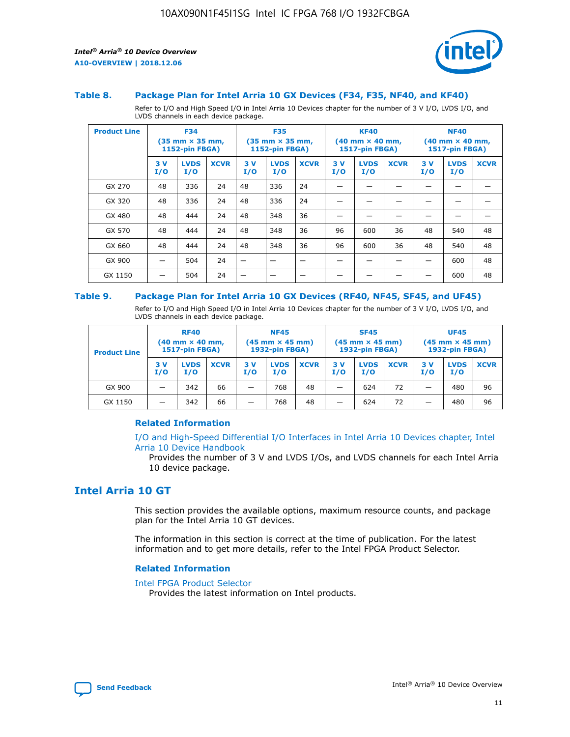

### **Table 8. Package Plan for Intel Arria 10 GX Devices (F34, F35, NF40, and KF40)**

Refer to I/O and High Speed I/O in Intel Arria 10 Devices chapter for the number of 3 V I/O, LVDS I/O, and LVDS channels in each device package.

| <b>Product Line</b> | <b>F34</b><br>$(35 \text{ mm} \times 35 \text{ mm})$<br>1152-pin FBGA) |                    | <b>F35</b><br>$(35 \text{ mm} \times 35 \text{ mm})$<br><b>1152-pin FBGA)</b> |           | <b>KF40</b><br>$(40$ mm $\times$ 40 mm,<br>1517-pin FBGA) |             |           | <b>NF40</b><br>$(40$ mm $\times$ 40 mm,<br><b>1517-pin FBGA)</b> |             |            |                    |             |
|---------------------|------------------------------------------------------------------------|--------------------|-------------------------------------------------------------------------------|-----------|-----------------------------------------------------------|-------------|-----------|------------------------------------------------------------------|-------------|------------|--------------------|-------------|
|                     | 3V<br>I/O                                                              | <b>LVDS</b><br>I/O | <b>XCVR</b>                                                                   | 3V<br>I/O | <b>LVDS</b><br>I/O                                        | <b>XCVR</b> | 3V<br>I/O | <b>LVDS</b><br>I/O                                               | <b>XCVR</b> | 3 V<br>I/O | <b>LVDS</b><br>I/O | <b>XCVR</b> |
| GX 270              | 48                                                                     | 336                | 24                                                                            | 48        | 336                                                       | 24          |           |                                                                  |             |            |                    |             |
| GX 320              | 48                                                                     | 336                | 24                                                                            | 48        | 336                                                       | 24          |           |                                                                  |             |            |                    |             |
| GX 480              | 48                                                                     | 444                | 24                                                                            | 48        | 348                                                       | 36          |           |                                                                  |             |            |                    |             |
| GX 570              | 48                                                                     | 444                | 24                                                                            | 48        | 348                                                       | 36          | 96        | 600                                                              | 36          | 48         | 540                | 48          |
| GX 660              | 48                                                                     | 444                | 24                                                                            | 48        | 348                                                       | 36          | 96        | 600                                                              | 36          | 48         | 540                | 48          |
| GX 900              |                                                                        | 504                | 24                                                                            | -         |                                                           |             |           |                                                                  |             |            | 600                | 48          |
| GX 1150             |                                                                        | 504                | 24                                                                            |           |                                                           |             |           |                                                                  |             |            | 600                | 48          |

### **Table 9. Package Plan for Intel Arria 10 GX Devices (RF40, NF45, SF45, and UF45)**

Refer to I/O and High Speed I/O in Intel Arria 10 Devices chapter for the number of 3 V I/O, LVDS I/O, and LVDS channels in each device package.

| <b>Product Line</b> | <b>RF40</b><br>$(40$ mm $\times$ 40 mm,<br>1517-pin FBGA) |                    |             | <b>NF45</b><br>$(45 \text{ mm} \times 45 \text{ mm})$<br><b>1932-pin FBGA)</b> |                    |             | <b>SF45</b><br>$(45 \text{ mm} \times 45 \text{ mm})$<br><b>1932-pin FBGA)</b> |                    |             | <b>UF45</b><br>$(45 \text{ mm} \times 45 \text{ mm})$<br><b>1932-pin FBGA)</b> |                    |             |
|---------------------|-----------------------------------------------------------|--------------------|-------------|--------------------------------------------------------------------------------|--------------------|-------------|--------------------------------------------------------------------------------|--------------------|-------------|--------------------------------------------------------------------------------|--------------------|-------------|
|                     | 3V<br>I/O                                                 | <b>LVDS</b><br>I/O | <b>XCVR</b> | 3 V<br>I/O                                                                     | <b>LVDS</b><br>I/O | <b>XCVR</b> | 3 V<br>I/O                                                                     | <b>LVDS</b><br>I/O | <b>XCVR</b> | 3V<br>I/O                                                                      | <b>LVDS</b><br>I/O | <b>XCVR</b> |
| GX 900              |                                                           | 342                | 66          | _                                                                              | 768                | 48          |                                                                                | 624                | 72          |                                                                                | 480                | 96          |
| GX 1150             |                                                           | 342                | 66          | _                                                                              | 768                | 48          |                                                                                | 624                | 72          |                                                                                | 480                | 96          |

### **Related Information**

[I/O and High-Speed Differential I/O Interfaces in Intel Arria 10 Devices chapter, Intel](https://www.intel.com/content/www/us/en/programmable/documentation/sam1403482614086.html#sam1403482030321) [Arria 10 Device Handbook](https://www.intel.com/content/www/us/en/programmable/documentation/sam1403482614086.html#sam1403482030321)

Provides the number of 3 V and LVDS I/Os, and LVDS channels for each Intel Arria 10 device package.

# **Intel Arria 10 GT**

This section provides the available options, maximum resource counts, and package plan for the Intel Arria 10 GT devices.

The information in this section is correct at the time of publication. For the latest information and to get more details, refer to the Intel FPGA Product Selector.

#### **Related Information**

### [Intel FPGA Product Selector](http://www.altera.com/products/selector/psg-selector.html)

Provides the latest information on Intel products.

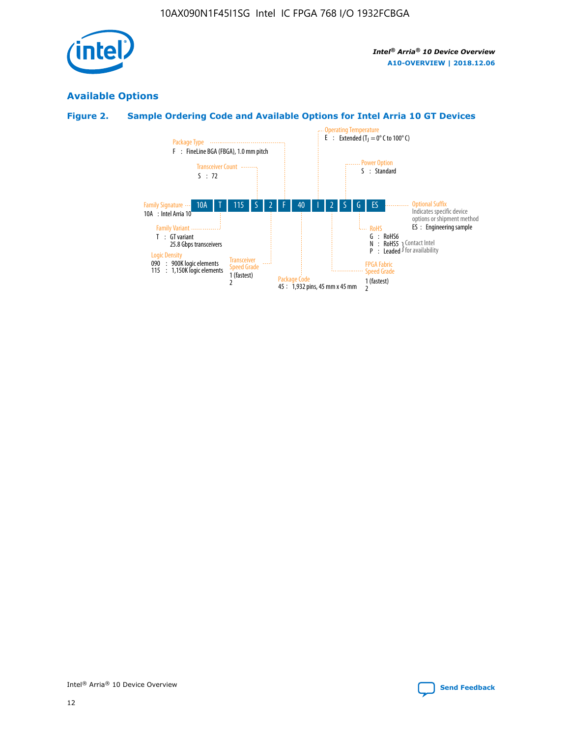

# **Available Options**

# **Figure 2. Sample Ordering Code and Available Options for Intel Arria 10 GT Devices**

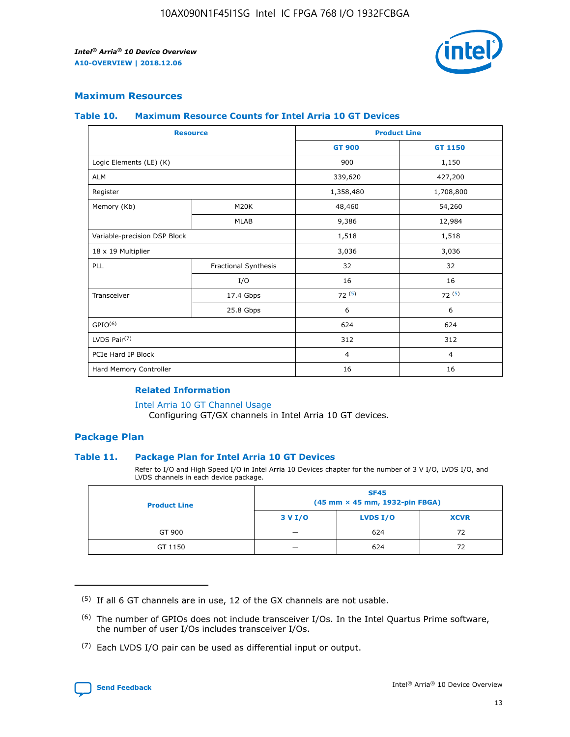

### **Maximum Resources**

### **Table 10. Maximum Resource Counts for Intel Arria 10 GT Devices**

| <b>Resource</b>              |                      |                | <b>Product Line</b> |  |
|------------------------------|----------------------|----------------|---------------------|--|
|                              |                      | <b>GT 900</b>  | GT 1150             |  |
| Logic Elements (LE) (K)      |                      | 900            | 1,150               |  |
| <b>ALM</b>                   |                      | 339,620        | 427,200             |  |
| Register                     |                      | 1,358,480      | 1,708,800           |  |
| Memory (Kb)                  | M <sub>20</sub> K    | 48,460         | 54,260              |  |
|                              | <b>MLAB</b>          | 9,386          | 12,984              |  |
| Variable-precision DSP Block |                      | 1,518          | 1,518               |  |
| 18 x 19 Multiplier           |                      | 3,036          | 3,036               |  |
| PLL                          | Fractional Synthesis | 32             | 32                  |  |
|                              | I/O                  | 16             | 16                  |  |
| Transceiver                  | 17.4 Gbps            | 72(5)          | 72(5)               |  |
|                              | 25.8 Gbps            | 6              | 6                   |  |
| GPIO <sup>(6)</sup>          |                      | 624            | 624                 |  |
| LVDS Pair $(7)$              |                      | 312            | 312                 |  |
| PCIe Hard IP Block           |                      | $\overline{4}$ | $\overline{4}$      |  |
| Hard Memory Controller       |                      | 16             | 16                  |  |

### **Related Information**

#### [Intel Arria 10 GT Channel Usage](https://www.intel.com/content/www/us/en/programmable/documentation/nik1398707230472.html#nik1398707008178)

Configuring GT/GX channels in Intel Arria 10 GT devices.

### **Package Plan**

### **Table 11. Package Plan for Intel Arria 10 GT Devices**

Refer to I/O and High Speed I/O in Intel Arria 10 Devices chapter for the number of 3 V I/O, LVDS I/O, and LVDS channels in each device package.

| <b>Product Line</b> | <b>SF45</b><br>(45 mm × 45 mm, 1932-pin FBGA) |                 |             |  |  |  |
|---------------------|-----------------------------------------------|-----------------|-------------|--|--|--|
|                     | 3 V I/O                                       | <b>LVDS I/O</b> | <b>XCVR</b> |  |  |  |
| GT 900              |                                               | 624             | 72          |  |  |  |
| GT 1150             |                                               | 624             |             |  |  |  |

<sup>(7)</sup> Each LVDS I/O pair can be used as differential input or output.



 $(5)$  If all 6 GT channels are in use, 12 of the GX channels are not usable.

<sup>(6)</sup> The number of GPIOs does not include transceiver I/Os. In the Intel Quartus Prime software, the number of user I/Os includes transceiver I/Os.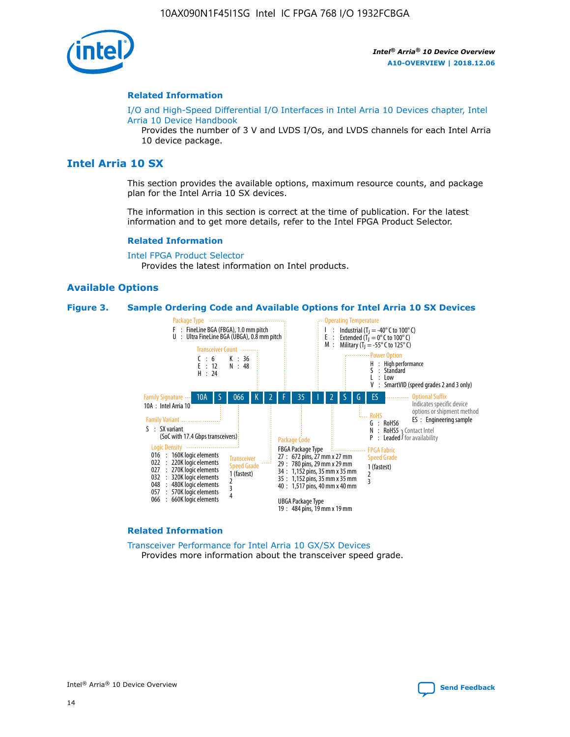

### **Related Information**

[I/O and High-Speed Differential I/O Interfaces in Intel Arria 10 Devices chapter, Intel](https://www.intel.com/content/www/us/en/programmable/documentation/sam1403482614086.html#sam1403482030321) [Arria 10 Device Handbook](https://www.intel.com/content/www/us/en/programmable/documentation/sam1403482614086.html#sam1403482030321)

Provides the number of 3 V and LVDS I/Os, and LVDS channels for each Intel Arria 10 device package.

# **Intel Arria 10 SX**

This section provides the available options, maximum resource counts, and package plan for the Intel Arria 10 SX devices.

The information in this section is correct at the time of publication. For the latest information and to get more details, refer to the Intel FPGA Product Selector.

#### **Related Information**

[Intel FPGA Product Selector](http://www.altera.com/products/selector/psg-selector.html) Provides the latest information on Intel products.

### **Available Options**

### **Figure 3. Sample Ordering Code and Available Options for Intel Arria 10 SX Devices**



#### **Related Information**

[Transceiver Performance for Intel Arria 10 GX/SX Devices](https://www.intel.com/content/www/us/en/programmable/documentation/mcn1413182292568.html#mcn1413213965502) Provides more information about the transceiver speed grade.

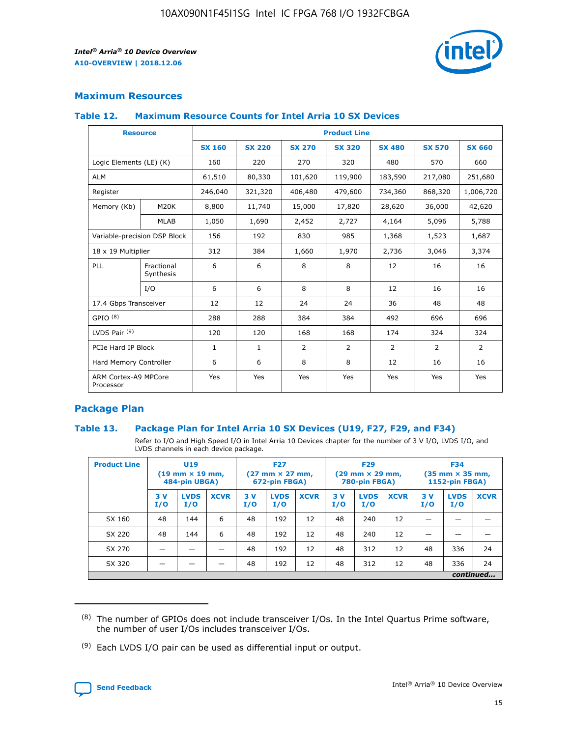

## **Maximum Resources**

### **Table 12. Maximum Resource Counts for Intel Arria 10 SX Devices**

| <b>Resource</b>                   |                         | <b>Product Line</b> |               |                |                |               |                |               |  |  |  |
|-----------------------------------|-------------------------|---------------------|---------------|----------------|----------------|---------------|----------------|---------------|--|--|--|
|                                   |                         | <b>SX 160</b>       | <b>SX 220</b> | <b>SX 270</b>  | <b>SX 320</b>  | <b>SX 480</b> | <b>SX 570</b>  | <b>SX 660</b> |  |  |  |
| Logic Elements (LE) (K)           |                         | 160                 | 220           | 270            | 320            | 480           | 570            | 660           |  |  |  |
| <b>ALM</b>                        |                         | 61,510              | 80,330        | 101,620        | 119,900        | 183,590       | 217,080        | 251,680       |  |  |  |
| Register                          |                         | 246,040             | 321,320       | 406,480        | 479,600        | 734,360       | 868,320        | 1,006,720     |  |  |  |
| Memory (Kb)                       | M <sub>20</sub> K       | 8,800               | 11,740        | 15,000         | 17,820         | 28,620        | 36,000         | 42,620        |  |  |  |
|                                   | <b>MLAB</b>             | 1,050               | 1,690         | 2,452          | 2,727          | 4,164         | 5,096          | 5,788         |  |  |  |
| Variable-precision DSP Block      |                         | 156                 | 192           | 830            | 985            | 1,368         | 1,523          | 1,687         |  |  |  |
|                                   | 18 x 19 Multiplier      |                     | 384           | 1,660          | 1,970          | 2,736         | 3,046          | 3,374         |  |  |  |
| PLL                               | Fractional<br>Synthesis | 6                   | 6             | 8              | 8              | 12            | 16             | 16            |  |  |  |
|                                   | I/O                     | 6                   | 6             | 8              | 8              | 12            | 16             | 16            |  |  |  |
| 17.4 Gbps Transceiver             |                         | 12                  | 12            | 24             | 24             | 36            | 48             | 48            |  |  |  |
| GPIO <sup>(8)</sup>               |                         | 288                 | 288           | 384            | 384            | 492           | 696            | 696           |  |  |  |
| LVDS Pair $(9)$                   |                         | 120                 | 120           | 168            | 168            | 174           | 324            | 324           |  |  |  |
| PCIe Hard IP Block                |                         | $\mathbf{1}$        | 1             | $\overline{2}$ | $\overline{2}$ | 2             | $\overline{2}$ | 2             |  |  |  |
| Hard Memory Controller            |                         | 6                   | 6             | 8              | 8              | 12            | 16             | 16            |  |  |  |
| ARM Cortex-A9 MPCore<br>Processor |                         | Yes                 | Yes           | Yes            | Yes            | Yes           | Yes            | Yes           |  |  |  |

## **Package Plan**

### **Table 13. Package Plan for Intel Arria 10 SX Devices (U19, F27, F29, and F34)**

Refer to I/O and High Speed I/O in Intel Arria 10 Devices chapter for the number of 3 V I/O, LVDS I/O, and LVDS channels in each device package.

| <b>Product Line</b> | <b>U19</b><br>$(19 \text{ mm} \times 19 \text{ mm})$<br>484-pin UBGA) |                    |             | <b>F27</b><br>$(27 \text{ mm} \times 27 \text{ mm})$<br>672-pin FBGA) |                    | <b>F29</b><br>$(29 \text{ mm} \times 29 \text{ mm})$<br>780-pin FBGA) |           |                    | <b>F34</b><br>$(35 \text{ mm} \times 35 \text{ mm})$<br><b>1152-pin FBGA)</b> |           |                    |             |
|---------------------|-----------------------------------------------------------------------|--------------------|-------------|-----------------------------------------------------------------------|--------------------|-----------------------------------------------------------------------|-----------|--------------------|-------------------------------------------------------------------------------|-----------|--------------------|-------------|
|                     | 3V<br>I/O                                                             | <b>LVDS</b><br>I/O | <b>XCVR</b> | 3V<br>I/O                                                             | <b>LVDS</b><br>I/O | <b>XCVR</b>                                                           | 3V<br>I/O | <b>LVDS</b><br>I/O | <b>XCVR</b>                                                                   | 3V<br>I/O | <b>LVDS</b><br>I/O | <b>XCVR</b> |
| SX 160              | 48                                                                    | 144                | 6           | 48                                                                    | 192                | 12                                                                    | 48        | 240                | 12                                                                            | -         |                    |             |
| SX 220              | 48                                                                    | 144                | 6           | 48                                                                    | 192                | 12                                                                    | 48        | 240                | 12                                                                            |           |                    |             |
| SX 270              |                                                                       |                    |             | 48                                                                    | 192                | 12                                                                    | 48        | 312                | 12                                                                            | 48        | 336                | 24          |
| SX 320              |                                                                       |                    |             | 48                                                                    | 192                | 12                                                                    | 48        | 312                | 12                                                                            | 48        | 336                | 24          |
|                     | continued                                                             |                    |             |                                                                       |                    |                                                                       |           |                    |                                                                               |           |                    |             |

 $(8)$  The number of GPIOs does not include transceiver I/Os. In the Intel Quartus Prime software, the number of user I/Os includes transceiver I/Os.

 $(9)$  Each LVDS I/O pair can be used as differential input or output.

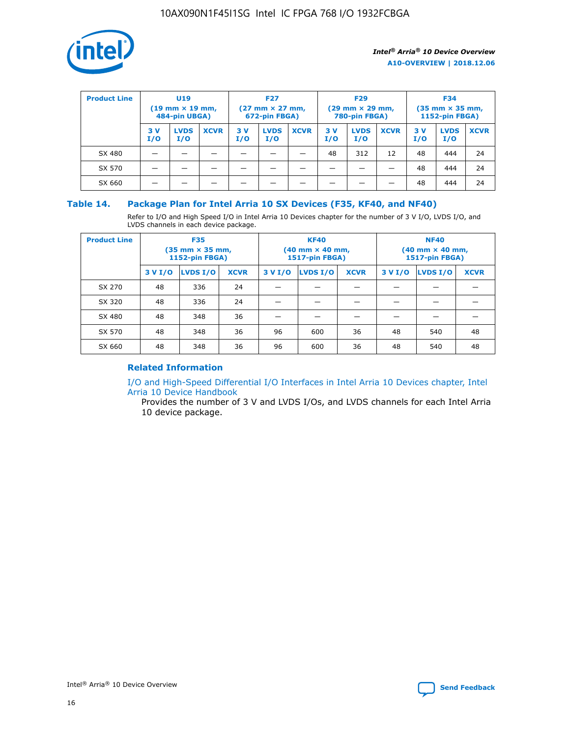

| <b>Product Line</b> | U <sub>19</sub><br>$(19 \text{ mm} \times 19 \text{ mm})$<br>484-pin UBGA) |                    | <b>F27</b><br>$(27 \text{ mm} \times 27 \text{ mm})$<br>672-pin FBGA) |           | <b>F29</b><br>$(29$ mm $\times$ 29 mm,<br>780-pin FBGA) |             |           | <b>F34</b><br>$(35$ mm $\times$ 35 mm,<br><b>1152-pin FBGA)</b> |             |            |                    |             |
|---------------------|----------------------------------------------------------------------------|--------------------|-----------------------------------------------------------------------|-----------|---------------------------------------------------------|-------------|-----------|-----------------------------------------------------------------|-------------|------------|--------------------|-------------|
|                     | 3 V<br>I/O                                                                 | <b>LVDS</b><br>I/O | <b>XCVR</b>                                                           | 3V<br>I/O | <b>LVDS</b><br>I/O                                      | <b>XCVR</b> | 3V<br>I/O | <b>LVDS</b><br>I/O                                              | <b>XCVR</b> | 3 V<br>I/O | <b>LVDS</b><br>I/O | <b>XCVR</b> |
| SX 480              |                                                                            |                    |                                                                       |           |                                                         |             | 48        | 312                                                             | 12          | 48         | 444                | 24          |
| SX 570              |                                                                            |                    |                                                                       |           |                                                         |             |           |                                                                 |             | 48         | 444                | 24          |
| SX 660              |                                                                            |                    |                                                                       |           |                                                         |             |           |                                                                 |             | 48         | 444                | 24          |

### **Table 14. Package Plan for Intel Arria 10 SX Devices (F35, KF40, and NF40)**

Refer to I/O and High Speed I/O in Intel Arria 10 Devices chapter for the number of 3 V I/O, LVDS I/O, and LVDS channels in each device package.

| <b>Product Line</b> | <b>F35</b><br>(35 mm × 35 mm,<br>1152-pin FBGA) |          |             |                                           | <b>KF40</b><br>(40 mm × 40 mm,<br>1517-pin FBGA) |    | <b>NF40</b><br>(40 mm × 40 mm,<br>1517-pin FBGA) |          |             |  |
|---------------------|-------------------------------------------------|----------|-------------|-------------------------------------------|--------------------------------------------------|----|--------------------------------------------------|----------|-------------|--|
|                     | 3 V I/O                                         | LVDS I/O | <b>XCVR</b> | <b>LVDS I/O</b><br>3 V I/O<br><b>XCVR</b> |                                                  |    | 3 V I/O                                          | LVDS I/O | <b>XCVR</b> |  |
| SX 270              | 48                                              | 336      | 24          |                                           |                                                  |    |                                                  |          |             |  |
| SX 320              | 48                                              | 336      | 24          |                                           |                                                  |    |                                                  |          |             |  |
| SX 480              | 48                                              | 348      | 36          |                                           |                                                  |    |                                                  |          |             |  |
| SX 570              | 48                                              | 348      | 36          | 96                                        | 600                                              | 36 | 48                                               | 540      | 48          |  |
| SX 660              | 48                                              | 348      | 36          | 96                                        | 600                                              | 36 | 48                                               | 540      | 48          |  |

# **Related Information**

[I/O and High-Speed Differential I/O Interfaces in Intel Arria 10 Devices chapter, Intel](https://www.intel.com/content/www/us/en/programmable/documentation/sam1403482614086.html#sam1403482030321) [Arria 10 Device Handbook](https://www.intel.com/content/www/us/en/programmable/documentation/sam1403482614086.html#sam1403482030321)

Provides the number of 3 V and LVDS I/Os, and LVDS channels for each Intel Arria 10 device package.

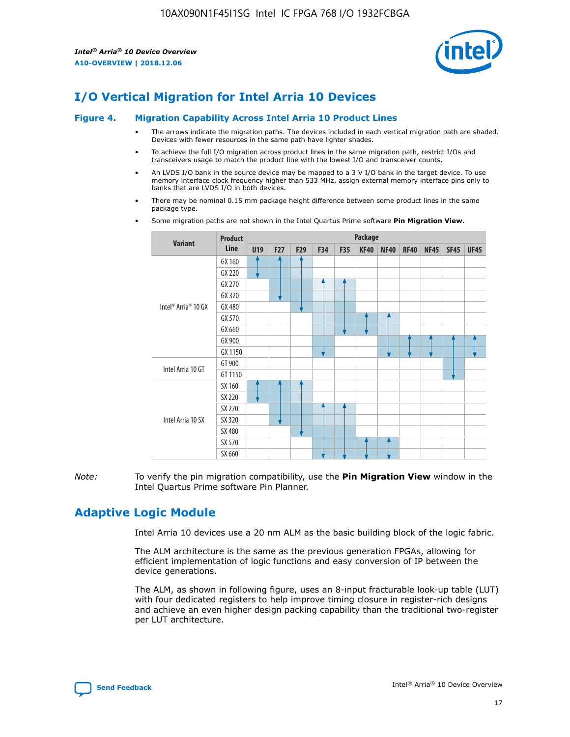

# **I/O Vertical Migration for Intel Arria 10 Devices**

#### **Figure 4. Migration Capability Across Intel Arria 10 Product Lines**

- The arrows indicate the migration paths. The devices included in each vertical migration path are shaded. Devices with fewer resources in the same path have lighter shades.
- To achieve the full I/O migration across product lines in the same migration path, restrict I/Os and transceivers usage to match the product line with the lowest I/O and transceiver counts.
- An LVDS I/O bank in the source device may be mapped to a 3 V I/O bank in the target device. To use memory interface clock frequency higher than 533 MHz, assign external memory interface pins only to banks that are LVDS I/O in both devices.
- There may be nominal 0.15 mm package height difference between some product lines in the same package type.
	- **Variant Product Line Package U19 F27 F29 F34 F35 KF40 NF40 RF40 NF45 SF45 UF45** Intel® Arria® 10 GX GX 160 GX 220 GX 270 GX 320 GX 480 GX 570 GX 660 GX 900 GX 1150 Intel Arria 10 GT GT 900 GT 1150 Intel Arria 10 SX SX 160 SX 220 SX 270 SX 320 SX 480 SX 570 SX 660
- Some migration paths are not shown in the Intel Quartus Prime software **Pin Migration View**.

*Note:* To verify the pin migration compatibility, use the **Pin Migration View** window in the Intel Quartus Prime software Pin Planner.

# **Adaptive Logic Module**

Intel Arria 10 devices use a 20 nm ALM as the basic building block of the logic fabric.

The ALM architecture is the same as the previous generation FPGAs, allowing for efficient implementation of logic functions and easy conversion of IP between the device generations.

The ALM, as shown in following figure, uses an 8-input fracturable look-up table (LUT) with four dedicated registers to help improve timing closure in register-rich designs and achieve an even higher design packing capability than the traditional two-register per LUT architecture.

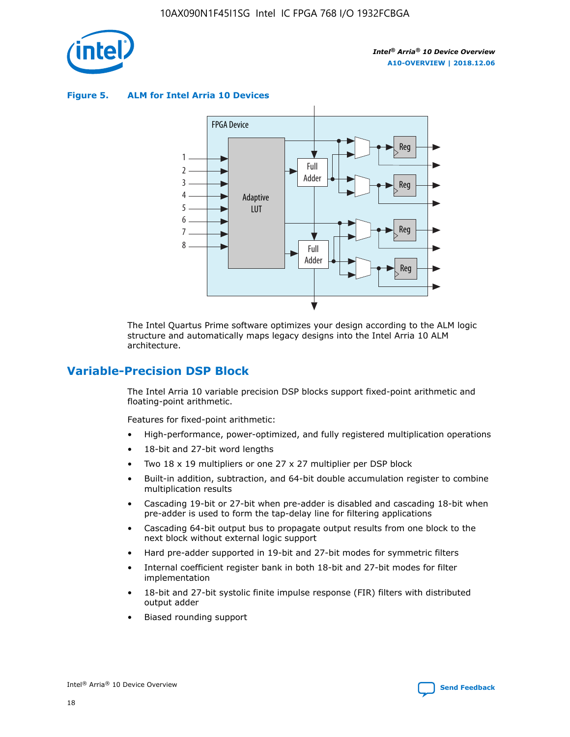

**Figure 5. ALM for Intel Arria 10 Devices**



The Intel Quartus Prime software optimizes your design according to the ALM logic structure and automatically maps legacy designs into the Intel Arria 10 ALM architecture.

# **Variable-Precision DSP Block**

The Intel Arria 10 variable precision DSP blocks support fixed-point arithmetic and floating-point arithmetic.

Features for fixed-point arithmetic:

- High-performance, power-optimized, and fully registered multiplication operations
- 18-bit and 27-bit word lengths
- Two 18 x 19 multipliers or one 27 x 27 multiplier per DSP block
- Built-in addition, subtraction, and 64-bit double accumulation register to combine multiplication results
- Cascading 19-bit or 27-bit when pre-adder is disabled and cascading 18-bit when pre-adder is used to form the tap-delay line for filtering applications
- Cascading 64-bit output bus to propagate output results from one block to the next block without external logic support
- Hard pre-adder supported in 19-bit and 27-bit modes for symmetric filters
- Internal coefficient register bank in both 18-bit and 27-bit modes for filter implementation
- 18-bit and 27-bit systolic finite impulse response (FIR) filters with distributed output adder
- Biased rounding support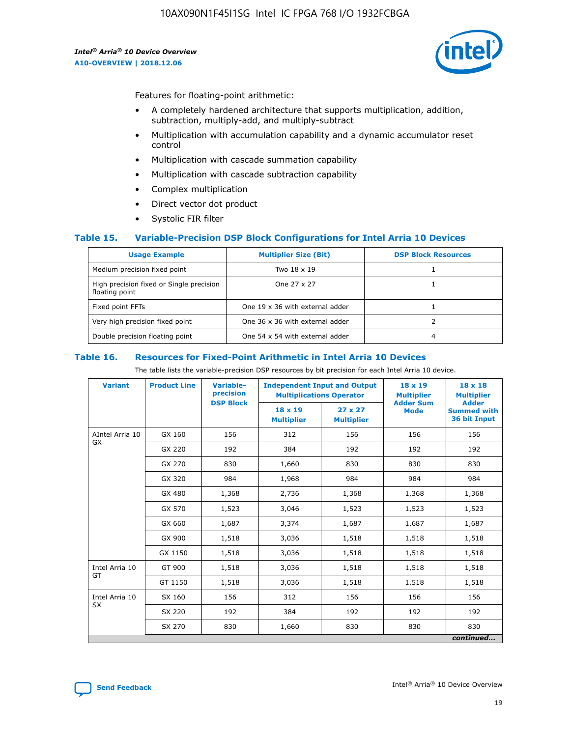

Features for floating-point arithmetic:

- A completely hardened architecture that supports multiplication, addition, subtraction, multiply-add, and multiply-subtract
- Multiplication with accumulation capability and a dynamic accumulator reset control
- Multiplication with cascade summation capability
- Multiplication with cascade subtraction capability
- Complex multiplication
- Direct vector dot product
- Systolic FIR filter

### **Table 15. Variable-Precision DSP Block Configurations for Intel Arria 10 Devices**

| <b>Usage Example</b>                                       | <b>Multiplier Size (Bit)</b>    | <b>DSP Block Resources</b> |
|------------------------------------------------------------|---------------------------------|----------------------------|
| Medium precision fixed point                               | Two 18 x 19                     |                            |
| High precision fixed or Single precision<br>floating point | One 27 x 27                     |                            |
| Fixed point FFTs                                           | One 19 x 36 with external adder |                            |
| Very high precision fixed point                            | One 36 x 36 with external adder |                            |
| Double precision floating point                            | One 54 x 54 with external adder | 4                          |

#### **Table 16. Resources for Fixed-Point Arithmetic in Intel Arria 10 Devices**

The table lists the variable-precision DSP resources by bit precision for each Intel Arria 10 device.

| <b>Variant</b>        | <b>Product Line</b> | Variable-<br>precision<br><b>DSP Block</b> | <b>Independent Input and Output</b><br><b>Multiplications Operator</b> |                                     | 18 x 19<br><b>Multiplier</b><br><b>Adder Sum</b> | $18 \times 18$<br><b>Multiplier</b><br><b>Adder</b> |
|-----------------------|---------------------|--------------------------------------------|------------------------------------------------------------------------|-------------------------------------|--------------------------------------------------|-----------------------------------------------------|
|                       |                     |                                            | 18 x 19<br><b>Multiplier</b>                                           | $27 \times 27$<br><b>Multiplier</b> | <b>Mode</b>                                      | <b>Summed with</b><br>36 bit Input                  |
| AIntel Arria 10<br>GX | GX 160              | 156                                        | 312                                                                    | 156                                 | 156                                              | 156                                                 |
|                       | GX 220              | 192                                        | 384                                                                    | 192                                 | 192                                              | 192                                                 |
|                       | GX 270              | 830                                        | 1,660                                                                  | 830                                 | 830                                              | 830                                                 |
|                       | GX 320              | 984                                        | 1,968                                                                  | 984                                 | 984                                              | 984                                                 |
|                       | GX 480              | 1,368                                      | 2,736                                                                  | 1,368                               | 1,368                                            | 1,368                                               |
|                       | GX 570              | 1,523                                      | 3,046                                                                  | 1,523                               | 1,523                                            | 1,523                                               |
|                       | GX 660              | 1,687                                      | 3,374                                                                  | 1,687                               | 1,687                                            | 1,687                                               |
|                       | GX 900              | 1,518                                      | 3,036                                                                  | 1,518                               | 1,518                                            | 1,518                                               |
|                       | GX 1150             | 1,518                                      | 3,036                                                                  | 1,518                               | 1,518                                            | 1,518                                               |
| Intel Arria 10        | GT 900              | 1,518                                      | 3,036                                                                  | 1,518                               | 1,518                                            | 1,518                                               |
| GT                    | GT 1150             | 1,518                                      | 3,036                                                                  | 1,518                               | 1,518                                            | 1,518                                               |
| Intel Arria 10        | SX 160              | 156                                        | 312                                                                    | 156                                 | 156                                              | 156                                                 |
| <b>SX</b>             | SX 220              | 192                                        | 384                                                                    | 192                                 | 192                                              | 192                                                 |
|                       | SX 270              | 830                                        | 1,660                                                                  | 830                                 | 830                                              | 830                                                 |
|                       |                     |                                            |                                                                        |                                     |                                                  | continued                                           |

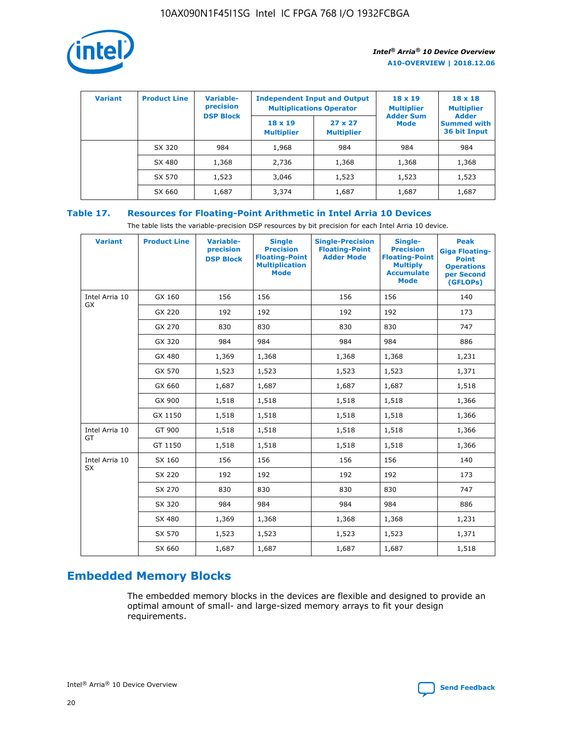

| <b>Variant</b> | <b>Product Line</b> | Variable-<br>precision | <b>Independent Input and Output</b><br><b>Multiplications Operator</b> |                                     | $18 \times 19$<br><b>Multiplier</b> | $18 \times 18$<br><b>Multiplier</b><br><b>Adder</b> |  |
|----------------|---------------------|------------------------|------------------------------------------------------------------------|-------------------------------------|-------------------------------------|-----------------------------------------------------|--|
|                |                     | <b>DSP Block</b>       | $18 \times 19$<br><b>Multiplier</b>                                    | $27 \times 27$<br><b>Multiplier</b> | <b>Adder Sum</b><br><b>Mode</b>     | <b>Summed with</b><br>36 bit Input                  |  |
|                | SX 320              | 984                    | 1,968                                                                  | 984                                 | 984                                 | 984                                                 |  |
|                | SX 480              | 1,368                  | 2,736                                                                  | 1,368                               | 1,368                               | 1,368                                               |  |
|                | SX 570              | 1,523                  | 3,046                                                                  | 1,523                               | 1,523                               | 1,523                                               |  |
|                | SX 660              | 1,687                  | 3,374                                                                  | 1,687                               | 1,687                               | 1,687                                               |  |

# **Table 17. Resources for Floating-Point Arithmetic in Intel Arria 10 Devices**

The table lists the variable-precision DSP resources by bit precision for each Intel Arria 10 device.

| <b>Variant</b>              | <b>Product Line</b> | <b>Variable-</b><br>precision<br><b>DSP Block</b> | <b>Single</b><br><b>Precision</b><br><b>Floating-Point</b><br><b>Multiplication</b><br><b>Mode</b> | <b>Single-Precision</b><br><b>Floating-Point</b><br><b>Adder Mode</b> | Single-<br><b>Precision</b><br><b>Floating-Point</b><br><b>Multiply</b><br><b>Accumulate</b><br><b>Mode</b> | <b>Peak</b><br><b>Giga Floating-</b><br><b>Point</b><br><b>Operations</b><br>per Second<br>(GFLOPs) |
|-----------------------------|---------------------|---------------------------------------------------|----------------------------------------------------------------------------------------------------|-----------------------------------------------------------------------|-------------------------------------------------------------------------------------------------------------|-----------------------------------------------------------------------------------------------------|
| Intel Arria 10<br>GX        | GX 160              | 156                                               | 156                                                                                                | 156                                                                   | 156                                                                                                         | 140                                                                                                 |
|                             | GX 220              | 192                                               | 192                                                                                                | 192                                                                   | 192                                                                                                         | 173                                                                                                 |
|                             | GX 270              | 830                                               | 830                                                                                                | 830                                                                   | 830                                                                                                         | 747                                                                                                 |
|                             | GX 320              | 984                                               | 984                                                                                                | 984                                                                   | 984                                                                                                         | 886                                                                                                 |
|                             | GX 480              | 1,369                                             | 1,368                                                                                              | 1,368                                                                 | 1,368                                                                                                       | 1,231                                                                                               |
|                             | GX 570              | 1,523                                             | 1,523                                                                                              | 1,523                                                                 | 1,523                                                                                                       | 1,371                                                                                               |
|                             | GX 660              | 1,687                                             | 1,687                                                                                              | 1,687                                                                 | 1,687                                                                                                       | 1,518                                                                                               |
|                             | GX 900              | 1,518                                             | 1,518                                                                                              | 1,518                                                                 | 1,518                                                                                                       | 1,366                                                                                               |
|                             | GX 1150             | 1,518                                             | 1,518                                                                                              | 1,518                                                                 | 1,518                                                                                                       | 1,366                                                                                               |
| Intel Arria 10              | GT 900              | 1,518                                             | 1,518                                                                                              | 1,518                                                                 | 1,518                                                                                                       | 1,366                                                                                               |
| GT                          | GT 1150             | 1,518                                             | 1,518                                                                                              | 1,518                                                                 | 1,518                                                                                                       | 1,366                                                                                               |
| Intel Arria 10<br><b>SX</b> | SX 160              | 156                                               | 156                                                                                                | 156                                                                   | 156                                                                                                         | 140                                                                                                 |
|                             | SX 220              | 192                                               | 192                                                                                                | 192                                                                   | 192                                                                                                         | 173                                                                                                 |
|                             | SX 270              | 830                                               | 830                                                                                                | 830                                                                   | 830                                                                                                         | 747                                                                                                 |
|                             | SX 320              | 984                                               | 984                                                                                                | 984                                                                   | 984                                                                                                         | 886                                                                                                 |
|                             | SX 480              | 1,369                                             | 1,368                                                                                              | 1,368                                                                 | 1,368                                                                                                       | 1,231                                                                                               |
|                             | SX 570              | 1,523                                             | 1,523                                                                                              | 1,523                                                                 | 1,523                                                                                                       | 1,371                                                                                               |
|                             | SX 660              | 1,687                                             | 1,687                                                                                              | 1,687                                                                 | 1,687                                                                                                       | 1,518                                                                                               |

# **Embedded Memory Blocks**

The embedded memory blocks in the devices are flexible and designed to provide an optimal amount of small- and large-sized memory arrays to fit your design requirements.

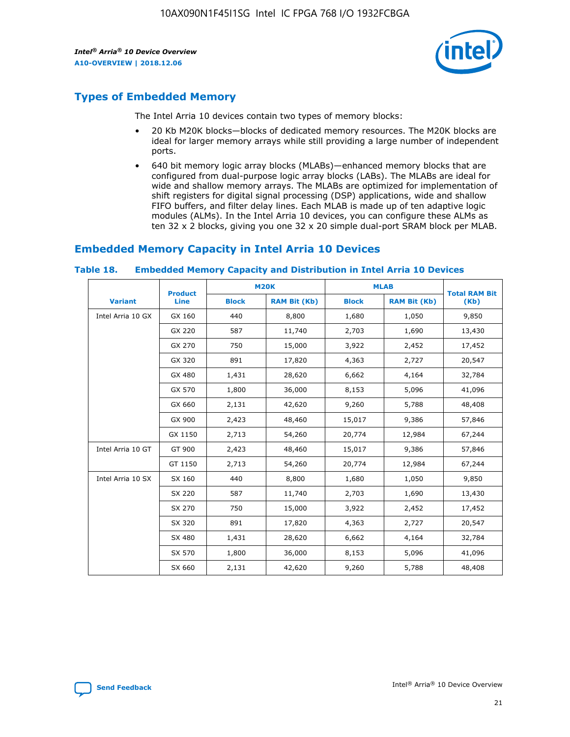

# **Types of Embedded Memory**

The Intel Arria 10 devices contain two types of memory blocks:

- 20 Kb M20K blocks—blocks of dedicated memory resources. The M20K blocks are ideal for larger memory arrays while still providing a large number of independent ports.
- 640 bit memory logic array blocks (MLABs)—enhanced memory blocks that are configured from dual-purpose logic array blocks (LABs). The MLABs are ideal for wide and shallow memory arrays. The MLABs are optimized for implementation of shift registers for digital signal processing (DSP) applications, wide and shallow FIFO buffers, and filter delay lines. Each MLAB is made up of ten adaptive logic modules (ALMs). In the Intel Arria 10 devices, you can configure these ALMs as ten 32 x 2 blocks, giving you one 32 x 20 simple dual-port SRAM block per MLAB.

# **Embedded Memory Capacity in Intel Arria 10 Devices**

|                   | <b>Product</b> |              | <b>M20K</b>         | <b>MLAB</b>  |                     | <b>Total RAM Bit</b> |
|-------------------|----------------|--------------|---------------------|--------------|---------------------|----------------------|
| <b>Variant</b>    | Line           | <b>Block</b> | <b>RAM Bit (Kb)</b> | <b>Block</b> | <b>RAM Bit (Kb)</b> | (Kb)                 |
| Intel Arria 10 GX | GX 160         | 440          | 8,800               | 1,680        | 1,050               | 9,850                |
|                   | GX 220         | 587          | 11,740              | 2,703        | 1,690               | 13,430               |
|                   | GX 270         | 750          | 15,000              | 3,922        | 2,452               | 17,452               |
|                   | GX 320         | 891          | 17,820              | 4,363        | 2,727               | 20,547               |
|                   | GX 480         | 1,431        | 28,620              | 6,662        | 4,164               | 32,784               |
|                   | GX 570         | 1,800        | 36,000              | 8,153        | 5,096               | 41,096               |
|                   | GX 660         | 2,131        | 42,620              | 9,260        | 5,788               | 48,408               |
|                   | GX 900         | 2,423        | 48,460              | 15,017       | 9,386               | 57,846               |
|                   | GX 1150        | 2,713        | 54,260              | 20,774       | 12,984              | 67,244               |
| Intel Arria 10 GT | GT 900         | 2,423        | 48,460              | 15,017       | 9,386               | 57,846               |
|                   | GT 1150        | 2,713        | 54,260              | 20,774       | 12,984              | 67,244               |
| Intel Arria 10 SX | SX 160         | 440          | 8,800               | 1,680        | 1,050               | 9,850                |
|                   | SX 220         | 587          | 11,740              | 2,703        | 1,690               | 13,430               |
|                   | SX 270         | 750          | 15,000              | 3,922        | 2,452               | 17,452               |
|                   | SX 320         | 891          | 17,820              | 4,363        | 2,727               | 20,547               |
|                   | SX 480         | 1,431        | 28,620              | 6,662        | 4,164               | 32,784               |
|                   | SX 570         | 1,800        | 36,000              | 8,153        | 5,096               | 41,096               |
|                   | SX 660         | 2,131        | 42,620              | 9,260        | 5,788               | 48,408               |

#### **Table 18. Embedded Memory Capacity and Distribution in Intel Arria 10 Devices**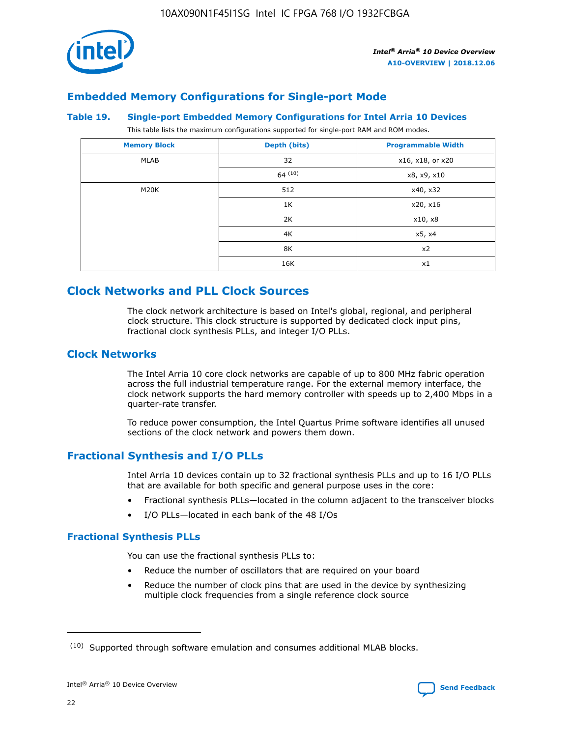

# **Embedded Memory Configurations for Single-port Mode**

### **Table 19. Single-port Embedded Memory Configurations for Intel Arria 10 Devices**

This table lists the maximum configurations supported for single-port RAM and ROM modes.

| <b>Memory Block</b> | Depth (bits) | <b>Programmable Width</b> |
|---------------------|--------------|---------------------------|
| MLAB                | 32           | x16, x18, or x20          |
|                     | 64(10)       | x8, x9, x10               |
| M20K                | 512          | x40, x32                  |
|                     | 1K           | x20, x16                  |
|                     | 2K           | x10, x8                   |
|                     | 4K           | x5, x4                    |
|                     | 8K           | x2                        |
|                     | 16K          | x1                        |

# **Clock Networks and PLL Clock Sources**

The clock network architecture is based on Intel's global, regional, and peripheral clock structure. This clock structure is supported by dedicated clock input pins, fractional clock synthesis PLLs, and integer I/O PLLs.

# **Clock Networks**

The Intel Arria 10 core clock networks are capable of up to 800 MHz fabric operation across the full industrial temperature range. For the external memory interface, the clock network supports the hard memory controller with speeds up to 2,400 Mbps in a quarter-rate transfer.

To reduce power consumption, the Intel Quartus Prime software identifies all unused sections of the clock network and powers them down.

# **Fractional Synthesis and I/O PLLs**

Intel Arria 10 devices contain up to 32 fractional synthesis PLLs and up to 16 I/O PLLs that are available for both specific and general purpose uses in the core:

- Fractional synthesis PLLs—located in the column adjacent to the transceiver blocks
- I/O PLLs—located in each bank of the 48 I/Os

## **Fractional Synthesis PLLs**

You can use the fractional synthesis PLLs to:

- Reduce the number of oscillators that are required on your board
- Reduce the number of clock pins that are used in the device by synthesizing multiple clock frequencies from a single reference clock source

<sup>(10)</sup> Supported through software emulation and consumes additional MLAB blocks.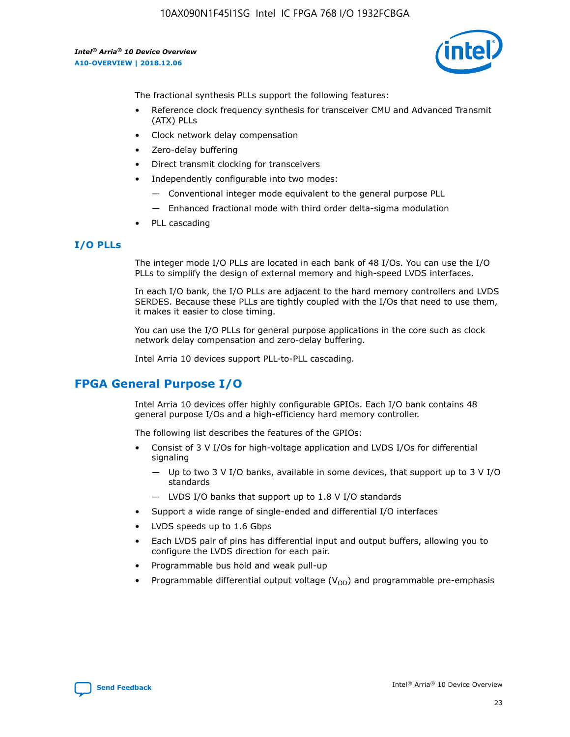10AX090N1F45I1SG Intel IC FPGA 768 I/O 1932FCBGA

*Intel® Arria® 10 Device Overview* **A10-OVERVIEW | 2018.12.06**



The fractional synthesis PLLs support the following features:

- Reference clock frequency synthesis for transceiver CMU and Advanced Transmit (ATX) PLLs
- Clock network delay compensation
- Zero-delay buffering
- Direct transmit clocking for transceivers
- Independently configurable into two modes:
	- Conventional integer mode equivalent to the general purpose PLL
	- Enhanced fractional mode with third order delta-sigma modulation
- PLL cascading

### **I/O PLLs**

The integer mode I/O PLLs are located in each bank of 48 I/Os. You can use the I/O PLLs to simplify the design of external memory and high-speed LVDS interfaces.

In each I/O bank, the I/O PLLs are adjacent to the hard memory controllers and LVDS SERDES. Because these PLLs are tightly coupled with the I/Os that need to use them, it makes it easier to close timing.

You can use the I/O PLLs for general purpose applications in the core such as clock network delay compensation and zero-delay buffering.

Intel Arria 10 devices support PLL-to-PLL cascading.

# **FPGA General Purpose I/O**

Intel Arria 10 devices offer highly configurable GPIOs. Each I/O bank contains 48 general purpose I/Os and a high-efficiency hard memory controller.

The following list describes the features of the GPIOs:

- Consist of 3 V I/Os for high-voltage application and LVDS I/Os for differential signaling
	- Up to two 3 V I/O banks, available in some devices, that support up to 3 V I/O standards
	- LVDS I/O banks that support up to 1.8 V I/O standards
- Support a wide range of single-ended and differential I/O interfaces
- LVDS speeds up to 1.6 Gbps
- Each LVDS pair of pins has differential input and output buffers, allowing you to configure the LVDS direction for each pair.
- Programmable bus hold and weak pull-up
- Programmable differential output voltage  $(V_{OD})$  and programmable pre-emphasis

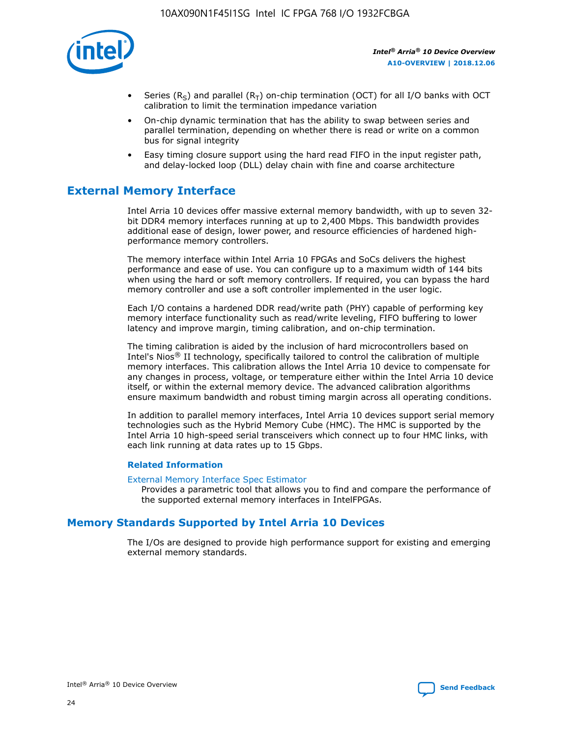

- Series (R<sub>S</sub>) and parallel (R<sub>T</sub>) on-chip termination (OCT) for all I/O banks with OCT calibration to limit the termination impedance variation
- On-chip dynamic termination that has the ability to swap between series and parallel termination, depending on whether there is read or write on a common bus for signal integrity
- Easy timing closure support using the hard read FIFO in the input register path, and delay-locked loop (DLL) delay chain with fine and coarse architecture

# **External Memory Interface**

Intel Arria 10 devices offer massive external memory bandwidth, with up to seven 32 bit DDR4 memory interfaces running at up to 2,400 Mbps. This bandwidth provides additional ease of design, lower power, and resource efficiencies of hardened highperformance memory controllers.

The memory interface within Intel Arria 10 FPGAs and SoCs delivers the highest performance and ease of use. You can configure up to a maximum width of 144 bits when using the hard or soft memory controllers. If required, you can bypass the hard memory controller and use a soft controller implemented in the user logic.

Each I/O contains a hardened DDR read/write path (PHY) capable of performing key memory interface functionality such as read/write leveling, FIFO buffering to lower latency and improve margin, timing calibration, and on-chip termination.

The timing calibration is aided by the inclusion of hard microcontrollers based on Intel's Nios® II technology, specifically tailored to control the calibration of multiple memory interfaces. This calibration allows the Intel Arria 10 device to compensate for any changes in process, voltage, or temperature either within the Intel Arria 10 device itself, or within the external memory device. The advanced calibration algorithms ensure maximum bandwidth and robust timing margin across all operating conditions.

In addition to parallel memory interfaces, Intel Arria 10 devices support serial memory technologies such as the Hybrid Memory Cube (HMC). The HMC is supported by the Intel Arria 10 high-speed serial transceivers which connect up to four HMC links, with each link running at data rates up to 15 Gbps.

### **Related Information**

#### [External Memory Interface Spec Estimator](http://www.altera.com/technology/memory/estimator/mem-emif-index.html)

Provides a parametric tool that allows you to find and compare the performance of the supported external memory interfaces in IntelFPGAs.

# **Memory Standards Supported by Intel Arria 10 Devices**

The I/Os are designed to provide high performance support for existing and emerging external memory standards.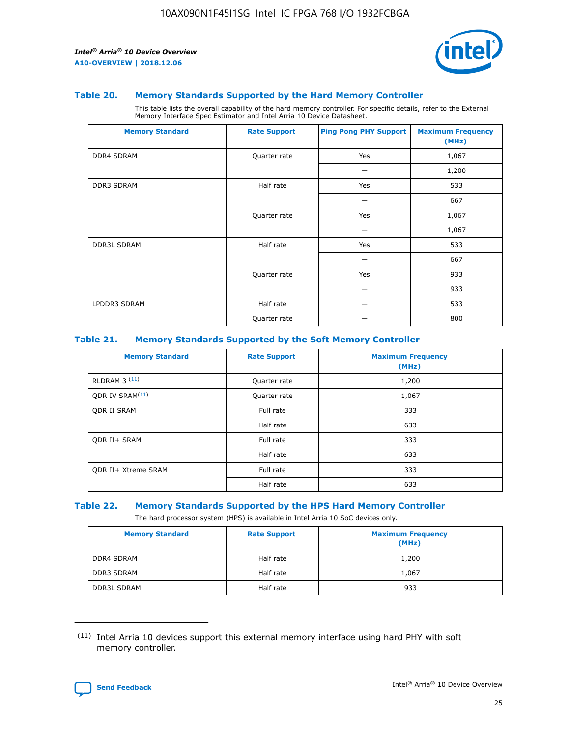

### **Table 20. Memory Standards Supported by the Hard Memory Controller**

This table lists the overall capability of the hard memory controller. For specific details, refer to the External Memory Interface Spec Estimator and Intel Arria 10 Device Datasheet.

| <b>Memory Standard</b> | <b>Rate Support</b> | <b>Ping Pong PHY Support</b> | <b>Maximum Frequency</b><br>(MHz) |
|------------------------|---------------------|------------------------------|-----------------------------------|
| <b>DDR4 SDRAM</b>      | Quarter rate        | Yes                          | 1,067                             |
|                        |                     |                              | 1,200                             |
| DDR3 SDRAM             | Half rate           | Yes                          | 533                               |
|                        |                     |                              | 667                               |
|                        | Quarter rate        | Yes                          | 1,067                             |
|                        |                     |                              | 1,067                             |
| <b>DDR3L SDRAM</b>     | Half rate           | Yes                          | 533                               |
|                        |                     |                              | 667                               |
|                        | Quarter rate        | Yes                          | 933                               |
|                        |                     |                              | 933                               |
| LPDDR3 SDRAM           | Half rate           |                              | 533                               |
|                        | Quarter rate        |                              | 800                               |

### **Table 21. Memory Standards Supported by the Soft Memory Controller**

| <b>Memory Standard</b>      | <b>Rate Support</b> | <b>Maximum Frequency</b><br>(MHz) |
|-----------------------------|---------------------|-----------------------------------|
| <b>RLDRAM 3 (11)</b>        | Quarter rate        | 1,200                             |
| ODR IV SRAM <sup>(11)</sup> | Quarter rate        | 1,067                             |
| <b>ODR II SRAM</b>          | Full rate           | 333                               |
|                             | Half rate           | 633                               |
| <b>ODR II+ SRAM</b>         | Full rate           | 333                               |
|                             | Half rate           | 633                               |
| <b>ODR II+ Xtreme SRAM</b>  | Full rate           | 333                               |
|                             | Half rate           | 633                               |

#### **Table 22. Memory Standards Supported by the HPS Hard Memory Controller**

The hard processor system (HPS) is available in Intel Arria 10 SoC devices only.

| <b>Memory Standard</b> | <b>Rate Support</b> | <b>Maximum Frequency</b><br>(MHz) |
|------------------------|---------------------|-----------------------------------|
| <b>DDR4 SDRAM</b>      | Half rate           | 1,200                             |
| <b>DDR3 SDRAM</b>      | Half rate           | 1,067                             |
| <b>DDR3L SDRAM</b>     | Half rate           | 933                               |

<sup>(11)</sup> Intel Arria 10 devices support this external memory interface using hard PHY with soft memory controller.

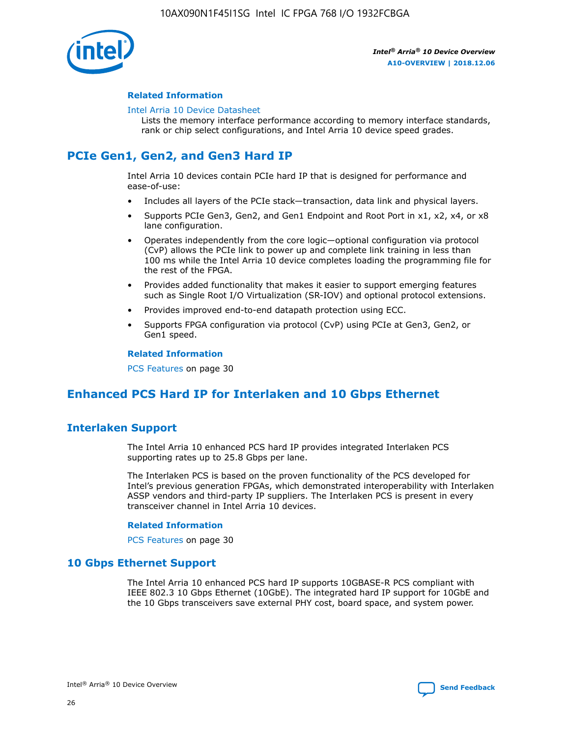

### **Related Information**

#### [Intel Arria 10 Device Datasheet](https://www.intel.com/content/www/us/en/programmable/documentation/mcn1413182292568.html#mcn1413182153340)

Lists the memory interface performance according to memory interface standards, rank or chip select configurations, and Intel Arria 10 device speed grades.

# **PCIe Gen1, Gen2, and Gen3 Hard IP**

Intel Arria 10 devices contain PCIe hard IP that is designed for performance and ease-of-use:

- Includes all layers of the PCIe stack—transaction, data link and physical layers.
- Supports PCIe Gen3, Gen2, and Gen1 Endpoint and Root Port in x1, x2, x4, or x8 lane configuration.
- Operates independently from the core logic—optional configuration via protocol (CvP) allows the PCIe link to power up and complete link training in less than 100 ms while the Intel Arria 10 device completes loading the programming file for the rest of the FPGA.
- Provides added functionality that makes it easier to support emerging features such as Single Root I/O Virtualization (SR-IOV) and optional protocol extensions.
- Provides improved end-to-end datapath protection using ECC.
- Supports FPGA configuration via protocol (CvP) using PCIe at Gen3, Gen2, or Gen1 speed.

#### **Related Information**

PCS Features on page 30

# **Enhanced PCS Hard IP for Interlaken and 10 Gbps Ethernet**

# **Interlaken Support**

The Intel Arria 10 enhanced PCS hard IP provides integrated Interlaken PCS supporting rates up to 25.8 Gbps per lane.

The Interlaken PCS is based on the proven functionality of the PCS developed for Intel's previous generation FPGAs, which demonstrated interoperability with Interlaken ASSP vendors and third-party IP suppliers. The Interlaken PCS is present in every transceiver channel in Intel Arria 10 devices.

### **Related Information**

PCS Features on page 30

## **10 Gbps Ethernet Support**

The Intel Arria 10 enhanced PCS hard IP supports 10GBASE-R PCS compliant with IEEE 802.3 10 Gbps Ethernet (10GbE). The integrated hard IP support for 10GbE and the 10 Gbps transceivers save external PHY cost, board space, and system power.

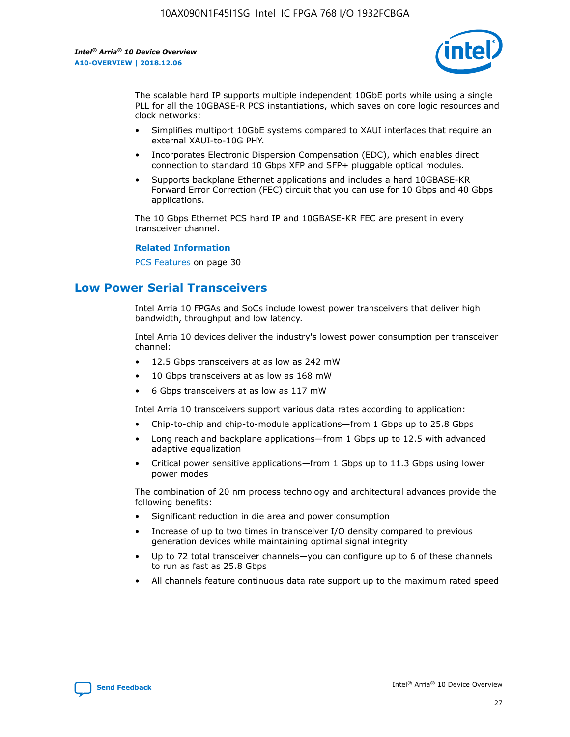

The scalable hard IP supports multiple independent 10GbE ports while using a single PLL for all the 10GBASE-R PCS instantiations, which saves on core logic resources and clock networks:

- Simplifies multiport 10GbE systems compared to XAUI interfaces that require an external XAUI-to-10G PHY.
- Incorporates Electronic Dispersion Compensation (EDC), which enables direct connection to standard 10 Gbps XFP and SFP+ pluggable optical modules.
- Supports backplane Ethernet applications and includes a hard 10GBASE-KR Forward Error Correction (FEC) circuit that you can use for 10 Gbps and 40 Gbps applications.

The 10 Gbps Ethernet PCS hard IP and 10GBASE-KR FEC are present in every transceiver channel.

### **Related Information**

PCS Features on page 30

# **Low Power Serial Transceivers**

Intel Arria 10 FPGAs and SoCs include lowest power transceivers that deliver high bandwidth, throughput and low latency.

Intel Arria 10 devices deliver the industry's lowest power consumption per transceiver channel:

- 12.5 Gbps transceivers at as low as 242 mW
- 10 Gbps transceivers at as low as 168 mW
- 6 Gbps transceivers at as low as 117 mW

Intel Arria 10 transceivers support various data rates according to application:

- Chip-to-chip and chip-to-module applications—from 1 Gbps up to 25.8 Gbps
- Long reach and backplane applications—from 1 Gbps up to 12.5 with advanced adaptive equalization
- Critical power sensitive applications—from 1 Gbps up to 11.3 Gbps using lower power modes

The combination of 20 nm process technology and architectural advances provide the following benefits:

- Significant reduction in die area and power consumption
- Increase of up to two times in transceiver I/O density compared to previous generation devices while maintaining optimal signal integrity
- Up to 72 total transceiver channels—you can configure up to 6 of these channels to run as fast as 25.8 Gbps
- All channels feature continuous data rate support up to the maximum rated speed

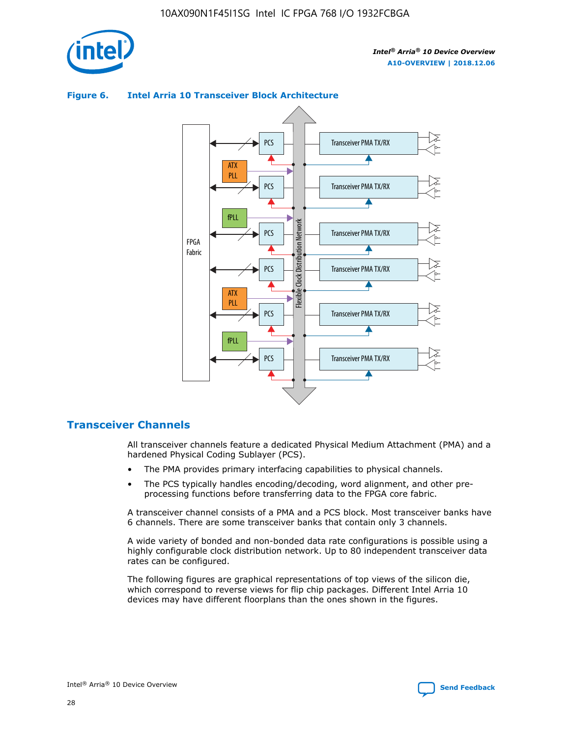

### **Figure 6. Intel Arria 10 Transceiver Block Architecture** Transceiver PMA TX/RX PCS ATX PLL Transceiver PMA TX/RX PCS fPLL Network Flexible Clock Distribution Network PCS Transceiver PMA TX/RX FPGA **Clock Distribution** Fabric PCS Transceiver PMA TX/RX ATX Flexible PLL PCS Transceiver PMA TX/RX ▲ fPLL Transceiver PMA TX/RX PCS 4

# **Transceiver Channels**

All transceiver channels feature a dedicated Physical Medium Attachment (PMA) and a hardened Physical Coding Sublayer (PCS).

- The PMA provides primary interfacing capabilities to physical channels.
- The PCS typically handles encoding/decoding, word alignment, and other preprocessing functions before transferring data to the FPGA core fabric.

A transceiver channel consists of a PMA and a PCS block. Most transceiver banks have 6 channels. There are some transceiver banks that contain only 3 channels.

A wide variety of bonded and non-bonded data rate configurations is possible using a highly configurable clock distribution network. Up to 80 independent transceiver data rates can be configured.

The following figures are graphical representations of top views of the silicon die, which correspond to reverse views for flip chip packages. Different Intel Arria 10 devices may have different floorplans than the ones shown in the figures.

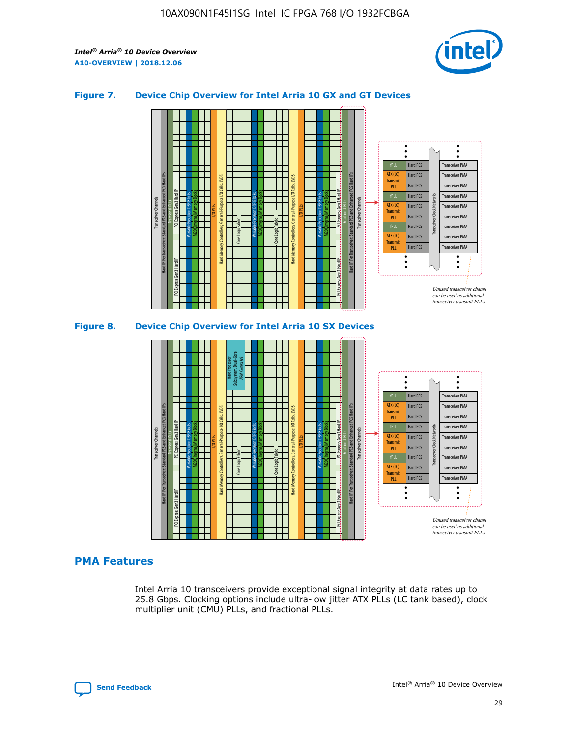

## **Figure 7. Device Chip Overview for Intel Arria 10 GX and GT Devices**





## **PMA Features**

Intel Arria 10 transceivers provide exceptional signal integrity at data rates up to 25.8 Gbps. Clocking options include ultra-low jitter ATX PLLs (LC tank based), clock multiplier unit (CMU) PLLs, and fractional PLLs.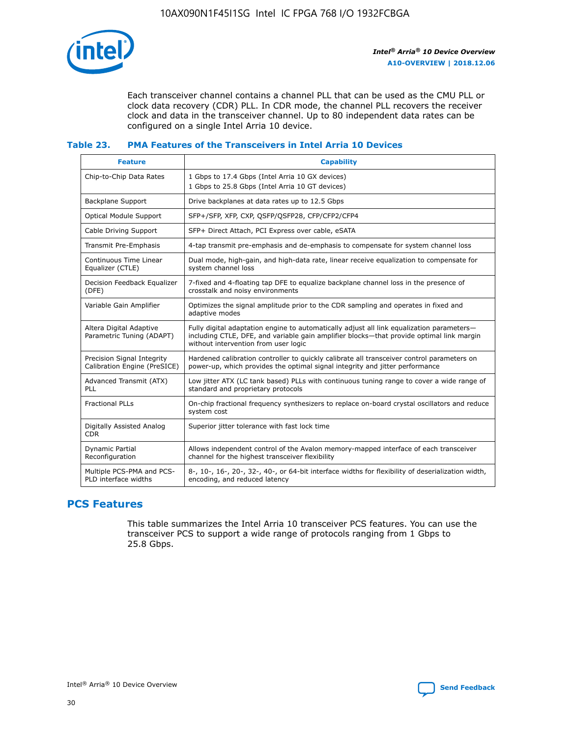

Each transceiver channel contains a channel PLL that can be used as the CMU PLL or clock data recovery (CDR) PLL. In CDR mode, the channel PLL recovers the receiver clock and data in the transceiver channel. Up to 80 independent data rates can be configured on a single Intel Arria 10 device.

### **Table 23. PMA Features of the Transceivers in Intel Arria 10 Devices**

| <b>Feature</b>                                             | <b>Capability</b>                                                                                                                                                                                                             |
|------------------------------------------------------------|-------------------------------------------------------------------------------------------------------------------------------------------------------------------------------------------------------------------------------|
| Chip-to-Chip Data Rates                                    | 1 Gbps to 17.4 Gbps (Intel Arria 10 GX devices)<br>1 Gbps to 25.8 Gbps (Intel Arria 10 GT devices)                                                                                                                            |
| Backplane Support                                          | Drive backplanes at data rates up to 12.5 Gbps                                                                                                                                                                                |
| Optical Module Support                                     | SFP+/SFP, XFP, CXP, QSFP/QSFP28, CFP/CFP2/CFP4                                                                                                                                                                                |
| Cable Driving Support                                      | SFP+ Direct Attach, PCI Express over cable, eSATA                                                                                                                                                                             |
| Transmit Pre-Emphasis                                      | 4-tap transmit pre-emphasis and de-emphasis to compensate for system channel loss                                                                                                                                             |
| Continuous Time Linear<br>Equalizer (CTLE)                 | Dual mode, high-gain, and high-data rate, linear receive equalization to compensate for<br>system channel loss                                                                                                                |
| Decision Feedback Equalizer<br>(DFE)                       | 7-fixed and 4-floating tap DFE to equalize backplane channel loss in the presence of<br>crosstalk and noisy environments                                                                                                      |
| Variable Gain Amplifier                                    | Optimizes the signal amplitude prior to the CDR sampling and operates in fixed and<br>adaptive modes                                                                                                                          |
| Altera Digital Adaptive<br>Parametric Tuning (ADAPT)       | Fully digital adaptation engine to automatically adjust all link equalization parameters-<br>including CTLE, DFE, and variable gain amplifier blocks—that provide optimal link margin<br>without intervention from user logic |
| Precision Signal Integrity<br>Calibration Engine (PreSICE) | Hardened calibration controller to quickly calibrate all transceiver control parameters on<br>power-up, which provides the optimal signal integrity and jitter performance                                                    |
| Advanced Transmit (ATX)<br><b>PLL</b>                      | Low jitter ATX (LC tank based) PLLs with continuous tuning range to cover a wide range of<br>standard and proprietary protocols                                                                                               |
| <b>Fractional PLLs</b>                                     | On-chip fractional frequency synthesizers to replace on-board crystal oscillators and reduce<br>system cost                                                                                                                   |
| Digitally Assisted Analog<br><b>CDR</b>                    | Superior jitter tolerance with fast lock time                                                                                                                                                                                 |
| Dynamic Partial<br>Reconfiguration                         | Allows independent control of the Avalon memory-mapped interface of each transceiver<br>channel for the highest transceiver flexibility                                                                                       |
| Multiple PCS-PMA and PCS-<br>PLD interface widths          | 8-, 10-, 16-, 20-, 32-, 40-, or 64-bit interface widths for flexibility of deserialization width,<br>encoding, and reduced latency                                                                                            |

# **PCS Features**

This table summarizes the Intel Arria 10 transceiver PCS features. You can use the transceiver PCS to support a wide range of protocols ranging from 1 Gbps to 25.8 Gbps.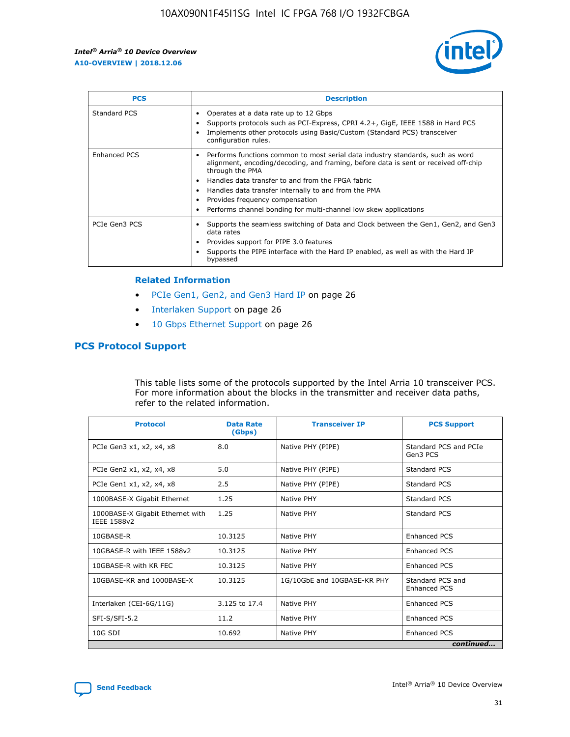

| <b>PCS</b>          | <b>Description</b>                                                                                                                                                                                                                                                                                                                                                                                             |
|---------------------|----------------------------------------------------------------------------------------------------------------------------------------------------------------------------------------------------------------------------------------------------------------------------------------------------------------------------------------------------------------------------------------------------------------|
| Standard PCS        | Operates at a data rate up to 12 Gbps<br>Supports protocols such as PCI-Express, CPRI 4.2+, GigE, IEEE 1588 in Hard PCS<br>Implements other protocols using Basic/Custom (Standard PCS) transceiver<br>configuration rules.                                                                                                                                                                                    |
| <b>Enhanced PCS</b> | Performs functions common to most serial data industry standards, such as word<br>alignment, encoding/decoding, and framing, before data is sent or received off-chip<br>through the PMA<br>• Handles data transfer to and from the FPGA fabric<br>Handles data transfer internally to and from the PMA<br>Provides frequency compensation<br>Performs channel bonding for multi-channel low skew applications |
| PCIe Gen3 PCS       | Supports the seamless switching of Data and Clock between the Gen1, Gen2, and Gen3<br>data rates<br>Provides support for PIPE 3.0 features<br>Supports the PIPE interface with the Hard IP enabled, as well as with the Hard IP<br>bypassed                                                                                                                                                                    |

#### **Related Information**

- PCIe Gen1, Gen2, and Gen3 Hard IP on page 26
- Interlaken Support on page 26
- 10 Gbps Ethernet Support on page 26

# **PCS Protocol Support**

This table lists some of the protocols supported by the Intel Arria 10 transceiver PCS. For more information about the blocks in the transmitter and receiver data paths, refer to the related information.

| <b>Protocol</b>                                 | <b>Data Rate</b><br>(Gbps) | <b>Transceiver IP</b>       | <b>PCS Support</b>                      |
|-------------------------------------------------|----------------------------|-----------------------------|-----------------------------------------|
| PCIe Gen3 x1, x2, x4, x8                        | 8.0                        | Native PHY (PIPE)           | Standard PCS and PCIe<br>Gen3 PCS       |
| PCIe Gen2 x1, x2, x4, x8                        | 5.0                        | Native PHY (PIPE)           | <b>Standard PCS</b>                     |
| PCIe Gen1 x1, x2, x4, x8                        | 2.5                        | Native PHY (PIPE)           | Standard PCS                            |
| 1000BASE-X Gigabit Ethernet                     | 1.25                       | Native PHY                  | <b>Standard PCS</b>                     |
| 1000BASE-X Gigabit Ethernet with<br>IEEE 1588v2 | 1.25                       | Native PHY                  | Standard PCS                            |
| 10GBASE-R                                       | 10.3125                    | Native PHY                  | <b>Enhanced PCS</b>                     |
| 10GBASE-R with IEEE 1588v2                      | 10.3125                    | Native PHY                  | <b>Enhanced PCS</b>                     |
| 10GBASE-R with KR FEC                           | 10.3125                    | Native PHY                  | <b>Enhanced PCS</b>                     |
| 10GBASE-KR and 1000BASE-X                       | 10.3125                    | 1G/10GbE and 10GBASE-KR PHY | Standard PCS and<br><b>Enhanced PCS</b> |
| Interlaken (CEI-6G/11G)                         | 3.125 to 17.4              | Native PHY                  | <b>Enhanced PCS</b>                     |
| SFI-S/SFI-5.2                                   | 11.2                       | Native PHY                  | <b>Enhanced PCS</b>                     |
| $10G$ SDI                                       | 10.692                     | Native PHY                  | <b>Enhanced PCS</b>                     |
|                                                 |                            |                             | continued                               |



**[Send Feedback](mailto:FPGAtechdocfeedback@intel.com?subject=Feedback%20on%20Intel%20Arria%2010%20Device%20Overview%20(A10-OVERVIEW%202018.12.06)&body=We%20appreciate%20your%20feedback.%20In%20your%20comments,%20also%20specify%20the%20page%20number%20or%20paragraph.%20Thank%20you.) Intel®** Arria<sup>®</sup> 10 Device Overview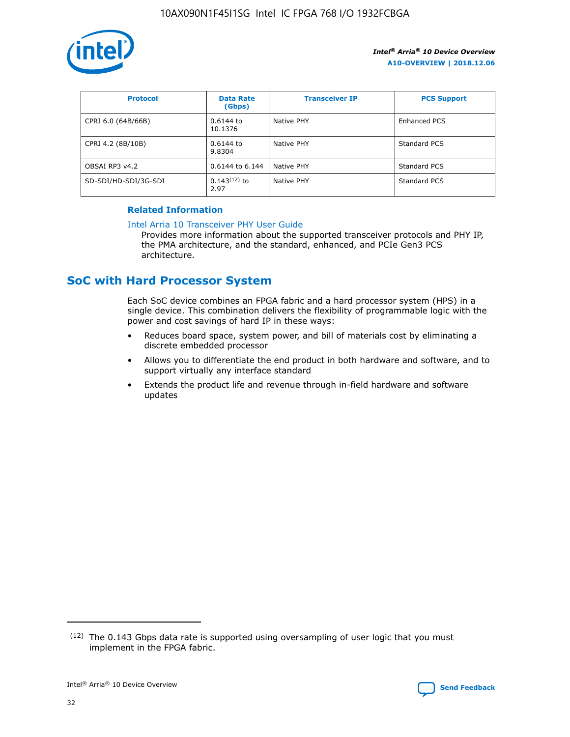

| <b>Protocol</b>      | <b>Data Rate</b><br>(Gbps) | <b>Transceiver IP</b> | <b>PCS Support</b> |
|----------------------|----------------------------|-----------------------|--------------------|
| CPRI 6.0 (64B/66B)   | 0.6144 to<br>10.1376       | Native PHY            | Enhanced PCS       |
| CPRI 4.2 (8B/10B)    | 0.6144 to<br>9.8304        | Native PHY            | Standard PCS       |
| OBSAI RP3 v4.2       | 0.6144 to 6.144            | Native PHY            | Standard PCS       |
| SD-SDI/HD-SDI/3G-SDI | $0.143(12)$ to<br>2.97     | Native PHY            | Standard PCS       |

## **Related Information**

### [Intel Arria 10 Transceiver PHY User Guide](https://www.intel.com/content/www/us/en/programmable/documentation/nik1398707230472.html#nik1398707091164)

Provides more information about the supported transceiver protocols and PHY IP, the PMA architecture, and the standard, enhanced, and PCIe Gen3 PCS architecture.

# **SoC with Hard Processor System**

Each SoC device combines an FPGA fabric and a hard processor system (HPS) in a single device. This combination delivers the flexibility of programmable logic with the power and cost savings of hard IP in these ways:

- Reduces board space, system power, and bill of materials cost by eliminating a discrete embedded processor
- Allows you to differentiate the end product in both hardware and software, and to support virtually any interface standard
- Extends the product life and revenue through in-field hardware and software updates

 $(12)$  The 0.143 Gbps data rate is supported using oversampling of user logic that you must implement in the FPGA fabric.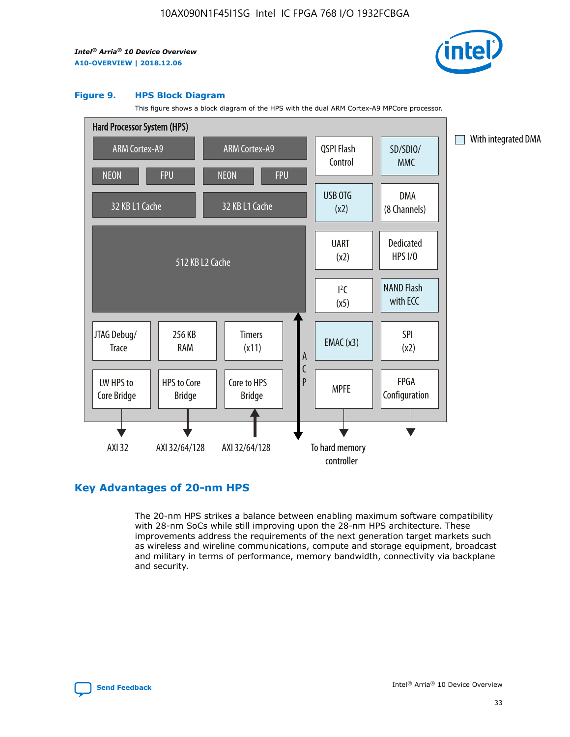

### **Figure 9. HPS Block Diagram**

This figure shows a block diagram of the HPS with the dual ARM Cortex-A9 MPCore processor.



# **Key Advantages of 20-nm HPS**

The 20-nm HPS strikes a balance between enabling maximum software compatibility with 28-nm SoCs while still improving upon the 28-nm HPS architecture. These improvements address the requirements of the next generation target markets such as wireless and wireline communications, compute and storage equipment, broadcast and military in terms of performance, memory bandwidth, connectivity via backplane and security.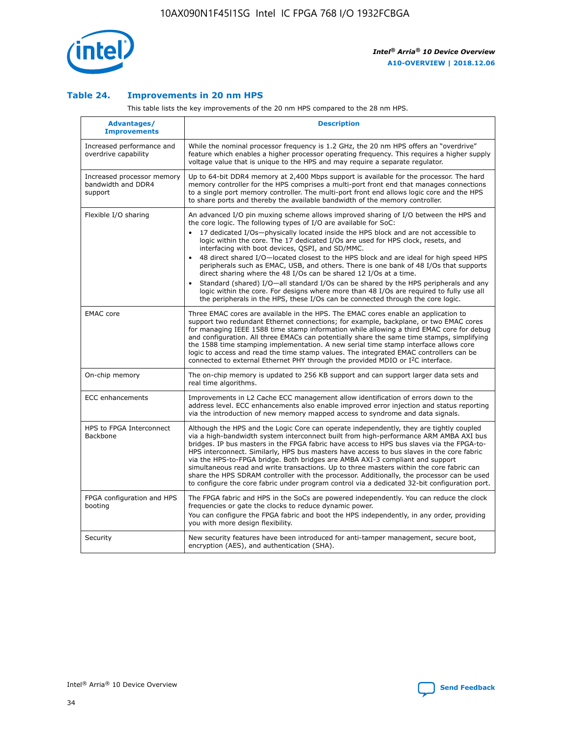

### **Table 24. Improvements in 20 nm HPS**

This table lists the key improvements of the 20 nm HPS compared to the 28 nm HPS.

| Advantages/<br><b>Improvements</b>                          | <b>Description</b>                                                                                                                                                                                                                                                                                                                                                                                                                                                                                                                                                                                                                                                                                                                                                                                                                                                                                                                                |
|-------------------------------------------------------------|---------------------------------------------------------------------------------------------------------------------------------------------------------------------------------------------------------------------------------------------------------------------------------------------------------------------------------------------------------------------------------------------------------------------------------------------------------------------------------------------------------------------------------------------------------------------------------------------------------------------------------------------------------------------------------------------------------------------------------------------------------------------------------------------------------------------------------------------------------------------------------------------------------------------------------------------------|
| Increased performance and<br>overdrive capability           | While the nominal processor frequency is 1.2 GHz, the 20 nm HPS offers an "overdrive"<br>feature which enables a higher processor operating frequency. This requires a higher supply<br>voltage value that is unique to the HPS and may require a separate regulator.                                                                                                                                                                                                                                                                                                                                                                                                                                                                                                                                                                                                                                                                             |
| Increased processor memory<br>bandwidth and DDR4<br>support | Up to 64-bit DDR4 memory at 2,400 Mbps support is available for the processor. The hard<br>memory controller for the HPS comprises a multi-port front end that manages connections<br>to a single port memory controller. The multi-port front end allows logic core and the HPS<br>to share ports and thereby the available bandwidth of the memory controller.                                                                                                                                                                                                                                                                                                                                                                                                                                                                                                                                                                                  |
| Flexible I/O sharing                                        | An advanced I/O pin muxing scheme allows improved sharing of I/O between the HPS and<br>the core logic. The following types of I/O are available for SoC:<br>$\bullet$<br>17 dedicated I/Os-physically located inside the HPS block and are not accessible to<br>logic within the core. The 17 dedicated I/Os are used for HPS clock, resets, and<br>interfacing with boot devices, QSPI, and SD/MMC.<br>48 direct shared I/O-located closest to the HPS block and are ideal for high speed HPS<br>$\bullet$<br>peripherals such as EMAC, USB, and others. There is one bank of 48 I/Os that supports<br>direct sharing where the 48 I/Os can be shared 12 I/Os at a time.<br>Standard (shared) I/O-all standard I/Os can be shared by the HPS peripherals and any<br>logic within the core. For designs where more than 48 I/Os are required to fully use all<br>the peripherals in the HPS, these I/Os can be connected through the core logic. |
| <b>EMAC</b> core                                            | Three EMAC cores are available in the HPS. The EMAC cores enable an application to<br>support two redundant Ethernet connections; for example, backplane, or two EMAC cores<br>for managing IEEE 1588 time stamp information while allowing a third EMAC core for debug<br>and configuration. All three EMACs can potentially share the same time stamps, simplifying<br>the 1588 time stamping implementation. A new serial time stamp interface allows core<br>logic to access and read the time stamp values. The integrated EMAC controllers can be<br>connected to external Ethernet PHY through the provided MDIO or I <sup>2</sup> C interface.                                                                                                                                                                                                                                                                                            |
| On-chip memory                                              | The on-chip memory is updated to 256 KB support and can support larger data sets and<br>real time algorithms.                                                                                                                                                                                                                                                                                                                                                                                                                                                                                                                                                                                                                                                                                                                                                                                                                                     |
| <b>ECC</b> enhancements                                     | Improvements in L2 Cache ECC management allow identification of errors down to the<br>address level. ECC enhancements also enable improved error injection and status reporting<br>via the introduction of new memory mapped access to syndrome and data signals.                                                                                                                                                                                                                                                                                                                                                                                                                                                                                                                                                                                                                                                                                 |
| HPS to FPGA Interconnect<br>Backbone                        | Although the HPS and the Logic Core can operate independently, they are tightly coupled<br>via a high-bandwidth system interconnect built from high-performance ARM AMBA AXI bus<br>bridges. IP bus masters in the FPGA fabric have access to HPS bus slaves via the FPGA-to-<br>HPS interconnect. Similarly, HPS bus masters have access to bus slaves in the core fabric<br>via the HPS-to-FPGA bridge. Both bridges are AMBA AXI-3 compliant and support<br>simultaneous read and write transactions. Up to three masters within the core fabric can<br>share the HPS SDRAM controller with the processor. Additionally, the processor can be used<br>to configure the core fabric under program control via a dedicated 32-bit configuration port.                                                                                                                                                                                            |
| FPGA configuration and HPS<br>booting                       | The FPGA fabric and HPS in the SoCs are powered independently. You can reduce the clock<br>frequencies or gate the clocks to reduce dynamic power.<br>You can configure the FPGA fabric and boot the HPS independently, in any order, providing<br>you with more design flexibility.                                                                                                                                                                                                                                                                                                                                                                                                                                                                                                                                                                                                                                                              |
| Security                                                    | New security features have been introduced for anti-tamper management, secure boot,<br>encryption (AES), and authentication (SHA).                                                                                                                                                                                                                                                                                                                                                                                                                                                                                                                                                                                                                                                                                                                                                                                                                |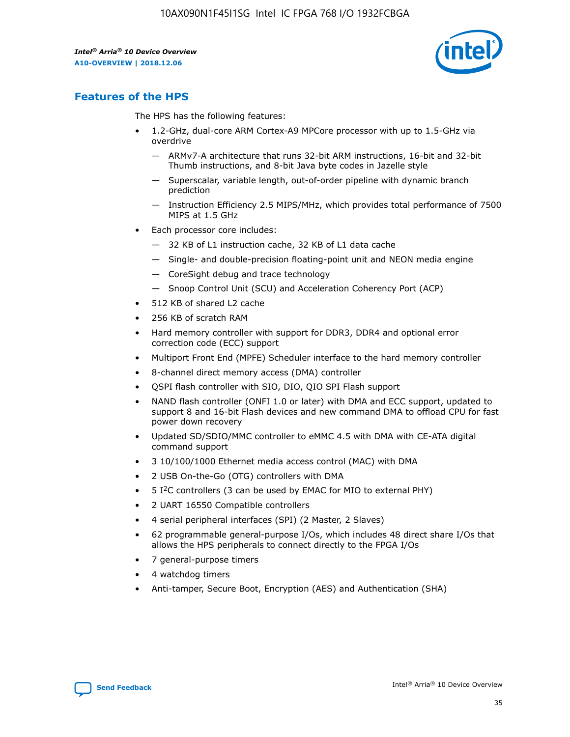

# **Features of the HPS**

The HPS has the following features:

- 1.2-GHz, dual-core ARM Cortex-A9 MPCore processor with up to 1.5-GHz via overdrive
	- ARMv7-A architecture that runs 32-bit ARM instructions, 16-bit and 32-bit Thumb instructions, and 8-bit Java byte codes in Jazelle style
	- Superscalar, variable length, out-of-order pipeline with dynamic branch prediction
	- Instruction Efficiency 2.5 MIPS/MHz, which provides total performance of 7500 MIPS at 1.5 GHz
- Each processor core includes:
	- 32 KB of L1 instruction cache, 32 KB of L1 data cache
	- Single- and double-precision floating-point unit and NEON media engine
	- CoreSight debug and trace technology
	- Snoop Control Unit (SCU) and Acceleration Coherency Port (ACP)
- 512 KB of shared L2 cache
- 256 KB of scratch RAM
- Hard memory controller with support for DDR3, DDR4 and optional error correction code (ECC) support
- Multiport Front End (MPFE) Scheduler interface to the hard memory controller
- 8-channel direct memory access (DMA) controller
- QSPI flash controller with SIO, DIO, QIO SPI Flash support
- NAND flash controller (ONFI 1.0 or later) with DMA and ECC support, updated to support 8 and 16-bit Flash devices and new command DMA to offload CPU for fast power down recovery
- Updated SD/SDIO/MMC controller to eMMC 4.5 with DMA with CE-ATA digital command support
- 3 10/100/1000 Ethernet media access control (MAC) with DMA
- 2 USB On-the-Go (OTG) controllers with DMA
- $\bullet$  5 I<sup>2</sup>C controllers (3 can be used by EMAC for MIO to external PHY)
- 2 UART 16550 Compatible controllers
- 4 serial peripheral interfaces (SPI) (2 Master, 2 Slaves)
- 62 programmable general-purpose I/Os, which includes 48 direct share I/Os that allows the HPS peripherals to connect directly to the FPGA I/Os
- 7 general-purpose timers
- 4 watchdog timers
- Anti-tamper, Secure Boot, Encryption (AES) and Authentication (SHA)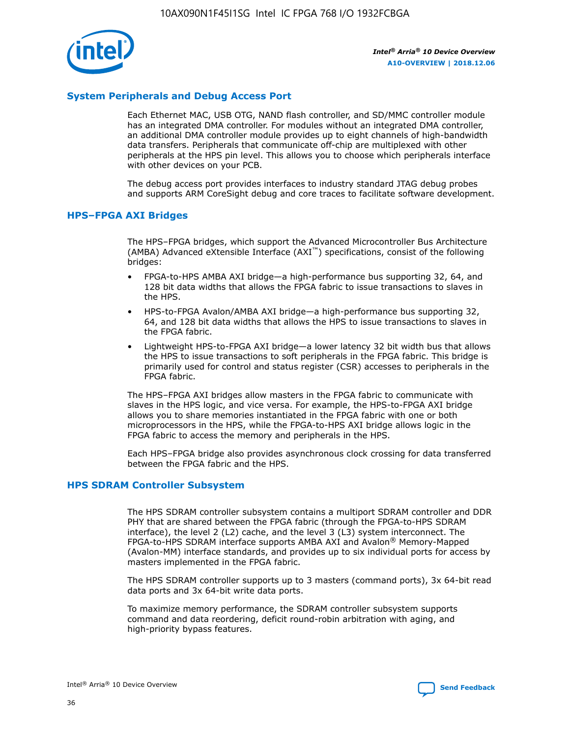

## **System Peripherals and Debug Access Port**

Each Ethernet MAC, USB OTG, NAND flash controller, and SD/MMC controller module has an integrated DMA controller. For modules without an integrated DMA controller, an additional DMA controller module provides up to eight channels of high-bandwidth data transfers. Peripherals that communicate off-chip are multiplexed with other peripherals at the HPS pin level. This allows you to choose which peripherals interface with other devices on your PCB.

The debug access port provides interfaces to industry standard JTAG debug probes and supports ARM CoreSight debug and core traces to facilitate software development.

### **HPS–FPGA AXI Bridges**

The HPS–FPGA bridges, which support the Advanced Microcontroller Bus Architecture (AMBA) Advanced eXtensible Interface (AXI™) specifications, consist of the following bridges:

- FPGA-to-HPS AMBA AXI bridge—a high-performance bus supporting 32, 64, and 128 bit data widths that allows the FPGA fabric to issue transactions to slaves in the HPS.
- HPS-to-FPGA Avalon/AMBA AXI bridge—a high-performance bus supporting 32, 64, and 128 bit data widths that allows the HPS to issue transactions to slaves in the FPGA fabric.
- Lightweight HPS-to-FPGA AXI bridge—a lower latency 32 bit width bus that allows the HPS to issue transactions to soft peripherals in the FPGA fabric. This bridge is primarily used for control and status register (CSR) accesses to peripherals in the FPGA fabric.

The HPS–FPGA AXI bridges allow masters in the FPGA fabric to communicate with slaves in the HPS logic, and vice versa. For example, the HPS-to-FPGA AXI bridge allows you to share memories instantiated in the FPGA fabric with one or both microprocessors in the HPS, while the FPGA-to-HPS AXI bridge allows logic in the FPGA fabric to access the memory and peripherals in the HPS.

Each HPS–FPGA bridge also provides asynchronous clock crossing for data transferred between the FPGA fabric and the HPS.

### **HPS SDRAM Controller Subsystem**

The HPS SDRAM controller subsystem contains a multiport SDRAM controller and DDR PHY that are shared between the FPGA fabric (through the FPGA-to-HPS SDRAM interface), the level 2 (L2) cache, and the level 3 (L3) system interconnect. The FPGA-to-HPS SDRAM interface supports AMBA AXI and Avalon® Memory-Mapped (Avalon-MM) interface standards, and provides up to six individual ports for access by masters implemented in the FPGA fabric.

The HPS SDRAM controller supports up to 3 masters (command ports), 3x 64-bit read data ports and 3x 64-bit write data ports.

To maximize memory performance, the SDRAM controller subsystem supports command and data reordering, deficit round-robin arbitration with aging, and high-priority bypass features.

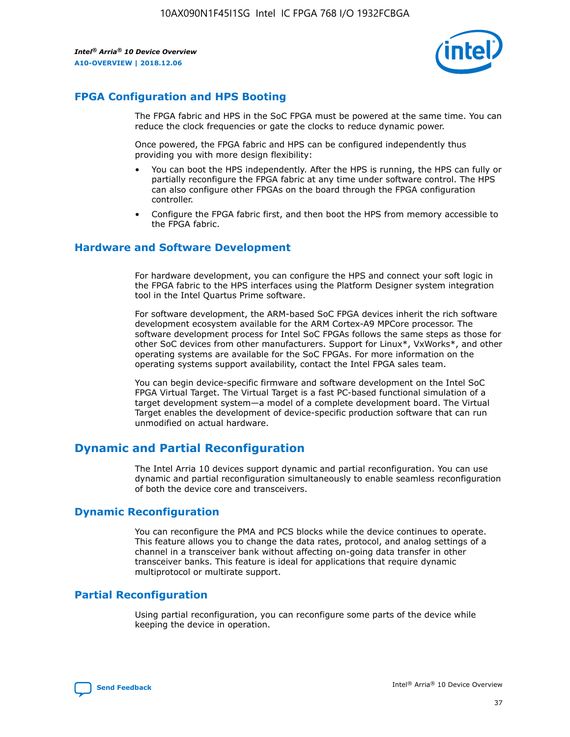

# **FPGA Configuration and HPS Booting**

The FPGA fabric and HPS in the SoC FPGA must be powered at the same time. You can reduce the clock frequencies or gate the clocks to reduce dynamic power.

Once powered, the FPGA fabric and HPS can be configured independently thus providing you with more design flexibility:

- You can boot the HPS independently. After the HPS is running, the HPS can fully or partially reconfigure the FPGA fabric at any time under software control. The HPS can also configure other FPGAs on the board through the FPGA configuration controller.
- Configure the FPGA fabric first, and then boot the HPS from memory accessible to the FPGA fabric.

### **Hardware and Software Development**

For hardware development, you can configure the HPS and connect your soft logic in the FPGA fabric to the HPS interfaces using the Platform Designer system integration tool in the Intel Quartus Prime software.

For software development, the ARM-based SoC FPGA devices inherit the rich software development ecosystem available for the ARM Cortex-A9 MPCore processor. The software development process for Intel SoC FPGAs follows the same steps as those for other SoC devices from other manufacturers. Support for Linux\*, VxWorks\*, and other operating systems are available for the SoC FPGAs. For more information on the operating systems support availability, contact the Intel FPGA sales team.

You can begin device-specific firmware and software development on the Intel SoC FPGA Virtual Target. The Virtual Target is a fast PC-based functional simulation of a target development system—a model of a complete development board. The Virtual Target enables the development of device-specific production software that can run unmodified on actual hardware.

# **Dynamic and Partial Reconfiguration**

The Intel Arria 10 devices support dynamic and partial reconfiguration. You can use dynamic and partial reconfiguration simultaneously to enable seamless reconfiguration of both the device core and transceivers.

# **Dynamic Reconfiguration**

You can reconfigure the PMA and PCS blocks while the device continues to operate. This feature allows you to change the data rates, protocol, and analog settings of a channel in a transceiver bank without affecting on-going data transfer in other transceiver banks. This feature is ideal for applications that require dynamic multiprotocol or multirate support.

# **Partial Reconfiguration**

Using partial reconfiguration, you can reconfigure some parts of the device while keeping the device in operation.

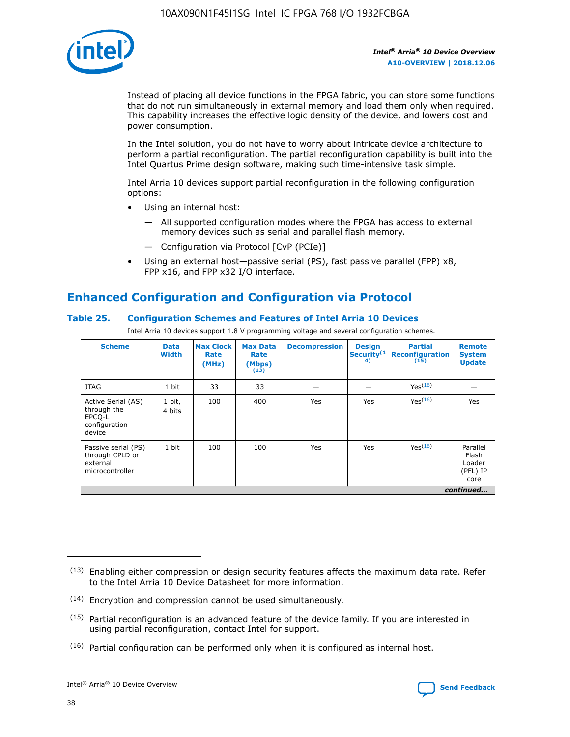

Instead of placing all device functions in the FPGA fabric, you can store some functions that do not run simultaneously in external memory and load them only when required. This capability increases the effective logic density of the device, and lowers cost and power consumption.

In the Intel solution, you do not have to worry about intricate device architecture to perform a partial reconfiguration. The partial reconfiguration capability is built into the Intel Quartus Prime design software, making such time-intensive task simple.

Intel Arria 10 devices support partial reconfiguration in the following configuration options:

- Using an internal host:
	- All supported configuration modes where the FPGA has access to external memory devices such as serial and parallel flash memory.
	- Configuration via Protocol [CvP (PCIe)]
- Using an external host—passive serial (PS), fast passive parallel (FPP) x8, FPP x16, and FPP x32 I/O interface.

# **Enhanced Configuration and Configuration via Protocol**

## **Table 25. Configuration Schemes and Features of Intel Arria 10 Devices**

Intel Arria 10 devices support 1.8 V programming voltage and several configuration schemes.

| <b>Scheme</b>                                                          | <b>Data</b><br><b>Width</b> | <b>Max Clock</b><br>Rate<br>(MHz) | <b>Max Data</b><br>Rate<br>(Mbps)<br>(13) | <b>Decompression</b> | <b>Design</b><br>Security <sup>(1</sup><br>4) | <b>Partial</b><br><b>Reconfiguration</b><br>(15) | <b>Remote</b><br><b>System</b><br><b>Update</b> |
|------------------------------------------------------------------------|-----------------------------|-----------------------------------|-------------------------------------------|----------------------|-----------------------------------------------|--------------------------------------------------|-------------------------------------------------|
| <b>JTAG</b>                                                            | 1 bit                       | 33                                | 33                                        |                      |                                               | Yes(16)                                          |                                                 |
| Active Serial (AS)<br>through the<br>EPCO-L<br>configuration<br>device | 1 bit,<br>4 bits            | 100                               | 400                                       | Yes                  | Yes                                           | $Y_{PS}(16)$                                     | Yes                                             |
| Passive serial (PS)<br>through CPLD or<br>external<br>microcontroller  | 1 bit                       | 100                               | 100                                       | Yes                  | Yes                                           | Yes(16)                                          | Parallel<br>Flash<br>Loader<br>(PFL) IP<br>core |
|                                                                        |                             |                                   |                                           |                      |                                               |                                                  | continued                                       |

<sup>(13)</sup> Enabling either compression or design security features affects the maximum data rate. Refer to the Intel Arria 10 Device Datasheet for more information.

<sup>(14)</sup> Encryption and compression cannot be used simultaneously.

 $(15)$  Partial reconfiguration is an advanced feature of the device family. If you are interested in using partial reconfiguration, contact Intel for support.

 $(16)$  Partial configuration can be performed only when it is configured as internal host.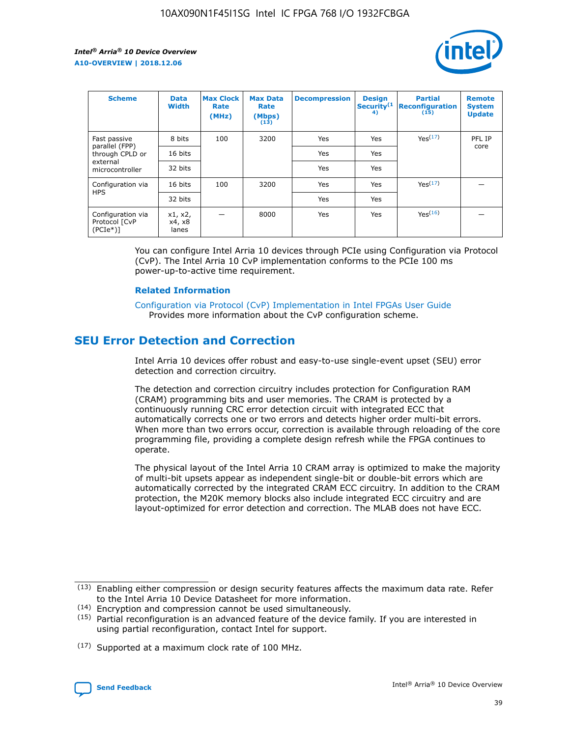

| <b>Scheme</b>                                    | <b>Data</b><br><b>Width</b> | <b>Max Clock</b><br>Rate<br>(MHz) | <b>Max Data</b><br>Rate<br>(Mbps)<br>(13) | <b>Decompression</b> | <b>Design</b><br>Security <sup>(1</sup><br>4) | <b>Partial</b><br><b>Reconfiguration</b><br>(15) | <b>Remote</b><br><b>System</b><br><b>Update</b> |
|--------------------------------------------------|-----------------------------|-----------------------------------|-------------------------------------------|----------------------|-----------------------------------------------|--------------------------------------------------|-------------------------------------------------|
| Fast passive                                     | 8 bits                      | 100                               | 3200                                      | Yes                  | Yes                                           | Yes(17)                                          | PFL IP                                          |
| parallel (FPP)<br>through CPLD or                | 16 bits                     |                                   |                                           | Yes                  | Yes                                           |                                                  | core                                            |
| external<br>microcontroller                      | 32 bits                     |                                   |                                           | Yes                  | Yes                                           |                                                  |                                                 |
| Configuration via                                | 16 bits                     | 100                               | 3200                                      | Yes                  | Yes                                           | Yes <sup>(17)</sup>                              |                                                 |
| <b>HPS</b>                                       | 32 bits                     |                                   |                                           | Yes                  | Yes                                           |                                                  |                                                 |
| Configuration via<br>Protocol [CvP<br>$(PCIe^*)$ | x1, x2,<br>x4, x8<br>lanes  |                                   | 8000                                      | Yes                  | Yes                                           | Yes(16)                                          |                                                 |

You can configure Intel Arria 10 devices through PCIe using Configuration via Protocol (CvP). The Intel Arria 10 CvP implementation conforms to the PCIe 100 ms power-up-to-active time requirement.

### **Related Information**

[Configuration via Protocol \(CvP\) Implementation in Intel FPGAs User Guide](https://www.intel.com/content/www/us/en/programmable/documentation/dsu1441819344145.html#dsu1442269728522) Provides more information about the CvP configuration scheme.

# **SEU Error Detection and Correction**

Intel Arria 10 devices offer robust and easy-to-use single-event upset (SEU) error detection and correction circuitry.

The detection and correction circuitry includes protection for Configuration RAM (CRAM) programming bits and user memories. The CRAM is protected by a continuously running CRC error detection circuit with integrated ECC that automatically corrects one or two errors and detects higher order multi-bit errors. When more than two errors occur, correction is available through reloading of the core programming file, providing a complete design refresh while the FPGA continues to operate.

The physical layout of the Intel Arria 10 CRAM array is optimized to make the majority of multi-bit upsets appear as independent single-bit or double-bit errors which are automatically corrected by the integrated CRAM ECC circuitry. In addition to the CRAM protection, the M20K memory blocks also include integrated ECC circuitry and are layout-optimized for error detection and correction. The MLAB does not have ECC.

<sup>(17)</sup> Supported at a maximum clock rate of 100 MHz.



 $(13)$  Enabling either compression or design security features affects the maximum data rate. Refer to the Intel Arria 10 Device Datasheet for more information.

<sup>(14)</sup> Encryption and compression cannot be used simultaneously.

 $(15)$  Partial reconfiguration is an advanced feature of the device family. If you are interested in using partial reconfiguration, contact Intel for support.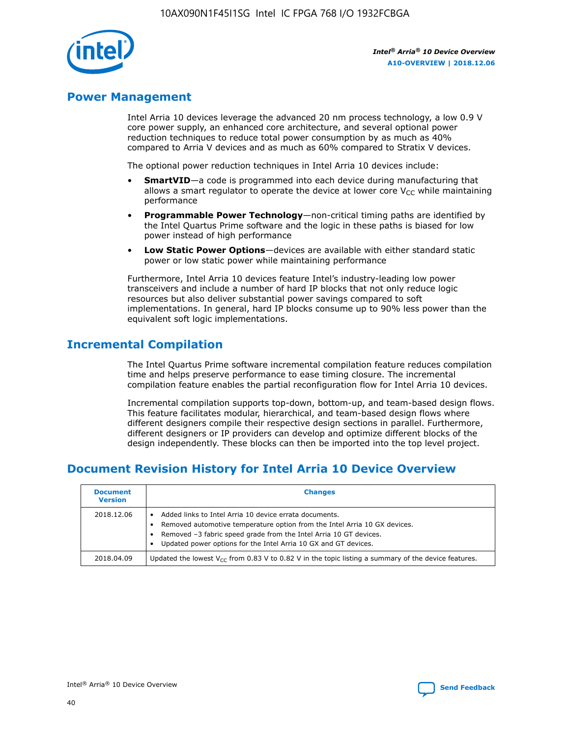

# **Power Management**

Intel Arria 10 devices leverage the advanced 20 nm process technology, a low 0.9 V core power supply, an enhanced core architecture, and several optional power reduction techniques to reduce total power consumption by as much as 40% compared to Arria V devices and as much as 60% compared to Stratix V devices.

The optional power reduction techniques in Intel Arria 10 devices include:

- **SmartVID**—a code is programmed into each device during manufacturing that allows a smart regulator to operate the device at lower core  $V_{CC}$  while maintaining performance
- **Programmable Power Technology**—non-critical timing paths are identified by the Intel Quartus Prime software and the logic in these paths is biased for low power instead of high performance
- **Low Static Power Options**—devices are available with either standard static power or low static power while maintaining performance

Furthermore, Intel Arria 10 devices feature Intel's industry-leading low power transceivers and include a number of hard IP blocks that not only reduce logic resources but also deliver substantial power savings compared to soft implementations. In general, hard IP blocks consume up to 90% less power than the equivalent soft logic implementations.

# **Incremental Compilation**

The Intel Quartus Prime software incremental compilation feature reduces compilation time and helps preserve performance to ease timing closure. The incremental compilation feature enables the partial reconfiguration flow for Intel Arria 10 devices.

Incremental compilation supports top-down, bottom-up, and team-based design flows. This feature facilitates modular, hierarchical, and team-based design flows where different designers compile their respective design sections in parallel. Furthermore, different designers or IP providers can develop and optimize different blocks of the design independently. These blocks can then be imported into the top level project.

# **Document Revision History for Intel Arria 10 Device Overview**

| <b>Document</b><br><b>Version</b> | <b>Changes</b>                                                                                                                                                                                                                                                              |
|-----------------------------------|-----------------------------------------------------------------------------------------------------------------------------------------------------------------------------------------------------------------------------------------------------------------------------|
| 2018.12.06                        | Added links to Intel Arria 10 device errata documents.<br>Removed automotive temperature option from the Intel Arria 10 GX devices.<br>Removed -3 fabric speed grade from the Intel Arria 10 GT devices.<br>Updated power options for the Intel Arria 10 GX and GT devices. |
| 2018.04.09                        | Updated the lowest $V_{CC}$ from 0.83 V to 0.82 V in the topic listing a summary of the device features.                                                                                                                                                                    |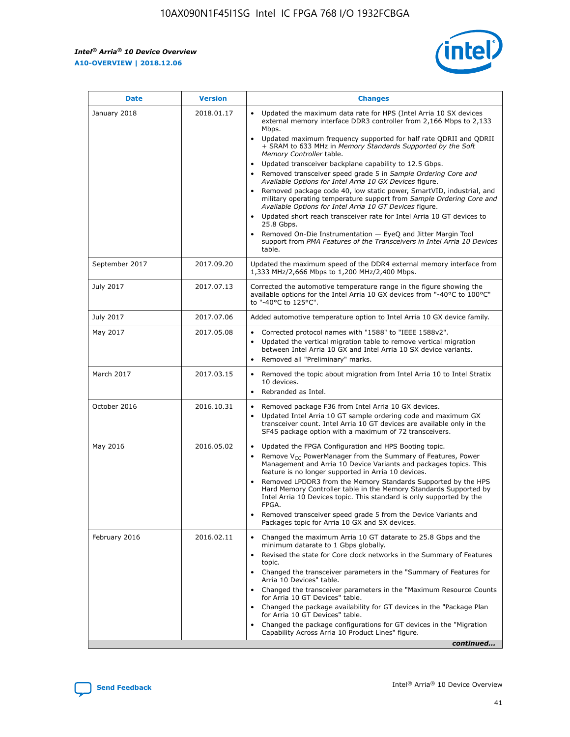*Intel® Arria® 10 Device Overview* **A10-OVERVIEW | 2018.12.06**



| <b>Date</b>    | <b>Version</b> | <b>Changes</b>                                                                                                                                                                                                                                                                                                                                                                                                                                                                                                                                                                                                                                                                                                                                                                                                                                                                                                                                                            |
|----------------|----------------|---------------------------------------------------------------------------------------------------------------------------------------------------------------------------------------------------------------------------------------------------------------------------------------------------------------------------------------------------------------------------------------------------------------------------------------------------------------------------------------------------------------------------------------------------------------------------------------------------------------------------------------------------------------------------------------------------------------------------------------------------------------------------------------------------------------------------------------------------------------------------------------------------------------------------------------------------------------------------|
| January 2018   | 2018.01.17     | Updated the maximum data rate for HPS (Intel Arria 10 SX devices<br>external memory interface DDR3 controller from 2,166 Mbps to 2,133<br>Mbps.<br>Updated maximum frequency supported for half rate QDRII and QDRII<br>+ SRAM to 633 MHz in Memory Standards Supported by the Soft<br>Memory Controller table.<br>Updated transceiver backplane capability to 12.5 Gbps.<br>$\bullet$<br>Removed transceiver speed grade 5 in Sample Ordering Core and<br>Available Options for Intel Arria 10 GX Devices figure.<br>Removed package code 40, low static power, SmartVID, industrial, and<br>military operating temperature support from Sample Ordering Core and<br>Available Options for Intel Arria 10 GT Devices figure.<br>Updated short reach transceiver rate for Intel Arria 10 GT devices to<br>25.8 Gbps.<br>Removed On-Die Instrumentation - EyeQ and Jitter Margin Tool<br>support from PMA Features of the Transceivers in Intel Arria 10 Devices<br>table. |
| September 2017 | 2017.09.20     | Updated the maximum speed of the DDR4 external memory interface from<br>1,333 MHz/2,666 Mbps to 1,200 MHz/2,400 Mbps.                                                                                                                                                                                                                                                                                                                                                                                                                                                                                                                                                                                                                                                                                                                                                                                                                                                     |
| July 2017      | 2017.07.13     | Corrected the automotive temperature range in the figure showing the<br>available options for the Intel Arria 10 GX devices from "-40°C to 100°C"<br>to "-40°C to 125°C".                                                                                                                                                                                                                                                                                                                                                                                                                                                                                                                                                                                                                                                                                                                                                                                                 |
| July 2017      | 2017.07.06     | Added automotive temperature option to Intel Arria 10 GX device family.                                                                                                                                                                                                                                                                                                                                                                                                                                                                                                                                                                                                                                                                                                                                                                                                                                                                                                   |
| May 2017       | 2017.05.08     | Corrected protocol names with "1588" to "IEEE 1588v2".<br>$\bullet$<br>Updated the vertical migration table to remove vertical migration<br>$\bullet$<br>between Intel Arria 10 GX and Intel Arria 10 SX device variants.<br>Removed all "Preliminary" marks.<br>$\bullet$                                                                                                                                                                                                                                                                                                                                                                                                                                                                                                                                                                                                                                                                                                |
| March 2017     | 2017.03.15     | Removed the topic about migration from Intel Arria 10 to Intel Stratix<br>10 devices.<br>Rebranded as Intel.<br>$\bullet$                                                                                                                                                                                                                                                                                                                                                                                                                                                                                                                                                                                                                                                                                                                                                                                                                                                 |
| October 2016   | 2016.10.31     | Removed package F36 from Intel Arria 10 GX devices.<br>Updated Intel Arria 10 GT sample ordering code and maximum GX<br>$\bullet$<br>transceiver count. Intel Arria 10 GT devices are available only in the<br>SF45 package option with a maximum of 72 transceivers.                                                                                                                                                                                                                                                                                                                                                                                                                                                                                                                                                                                                                                                                                                     |
| May 2016       | 2016.05.02     | Updated the FPGA Configuration and HPS Booting topic.<br>$\bullet$<br>Remove V <sub>CC</sub> PowerManager from the Summary of Features, Power<br>Management and Arria 10 Device Variants and packages topics. This<br>feature is no longer supported in Arria 10 devices.<br>Removed LPDDR3 from the Memory Standards Supported by the HPS<br>Hard Memory Controller table in the Memory Standards Supported by<br>Intel Arria 10 Devices topic. This standard is only supported by the<br>FPGA.<br>Removed transceiver speed grade 5 from the Device Variants and<br>Packages topic for Arria 10 GX and SX devices.                                                                                                                                                                                                                                                                                                                                                      |
| February 2016  | 2016.02.11     | Changed the maximum Arria 10 GT datarate to 25.8 Gbps and the<br>minimum datarate to 1 Gbps globally.<br>Revised the state for Core clock networks in the Summary of Features<br>$\bullet$<br>topic.<br>Changed the transceiver parameters in the "Summary of Features for<br>$\bullet$<br>Arria 10 Devices" table.<br>• Changed the transceiver parameters in the "Maximum Resource Counts<br>for Arria 10 GT Devices" table.<br>Changed the package availability for GT devices in the "Package Plan<br>for Arria 10 GT Devices" table.<br>Changed the package configurations for GT devices in the "Migration"<br>Capability Across Arria 10 Product Lines" figure.<br>continued                                                                                                                                                                                                                                                                                       |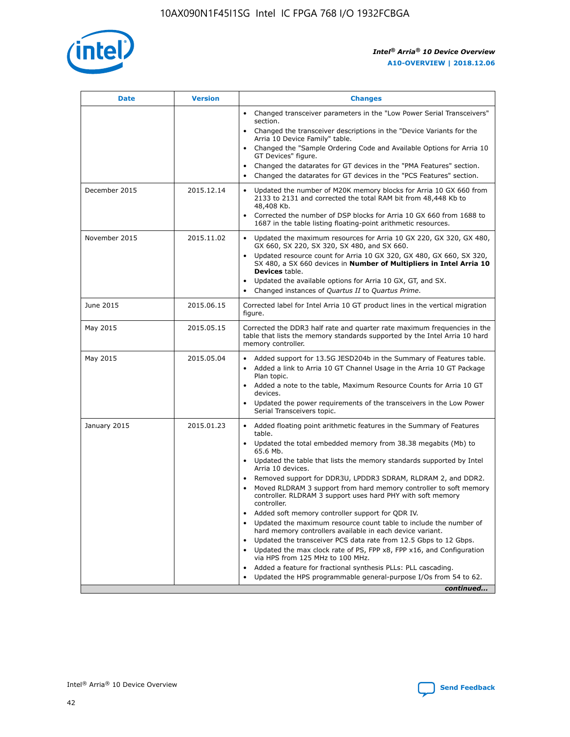

| <b>Date</b>   | <b>Version</b> | <b>Changes</b>                                                                                                                                                               |
|---------------|----------------|------------------------------------------------------------------------------------------------------------------------------------------------------------------------------|
|               |                | • Changed transceiver parameters in the "Low Power Serial Transceivers"<br>section.                                                                                          |
|               |                | • Changed the transceiver descriptions in the "Device Variants for the<br>Arria 10 Device Family" table.                                                                     |
|               |                | Changed the "Sample Ordering Code and Available Options for Arria 10<br>$\bullet$<br>GT Devices" figure.                                                                     |
|               |                | Changed the datarates for GT devices in the "PMA Features" section.                                                                                                          |
|               |                | Changed the datarates for GT devices in the "PCS Features" section.<br>$\bullet$                                                                                             |
| December 2015 | 2015.12.14     | Updated the number of M20K memory blocks for Arria 10 GX 660 from<br>2133 to 2131 and corrected the total RAM bit from 48,448 Kb to<br>48,408 Kb.                            |
|               |                | Corrected the number of DSP blocks for Arria 10 GX 660 from 1688 to<br>1687 in the table listing floating-point arithmetic resources.                                        |
| November 2015 | 2015.11.02     | Updated the maximum resources for Arria 10 GX 220, GX 320, GX 480,<br>$\bullet$<br>GX 660, SX 220, SX 320, SX 480, and SX 660.                                               |
|               |                | • Updated resource count for Arria 10 GX 320, GX 480, GX 660, SX 320,<br>SX 480, a SX 660 devices in Number of Multipliers in Intel Arria 10<br><b>Devices</b> table.        |
|               |                | Updated the available options for Arria 10 GX, GT, and SX.                                                                                                                   |
|               |                | Changed instances of Quartus II to Quartus Prime.<br>$\bullet$                                                                                                               |
| June 2015     | 2015.06.15     | Corrected label for Intel Arria 10 GT product lines in the vertical migration<br>figure.                                                                                     |
| May 2015      | 2015.05.15     | Corrected the DDR3 half rate and quarter rate maximum frequencies in the<br>table that lists the memory standards supported by the Intel Arria 10 hard<br>memory controller. |
| May 2015      | 2015.05.04     | • Added support for 13.5G JESD204b in the Summary of Features table.<br>• Added a link to Arria 10 GT Channel Usage in the Arria 10 GT Package<br>Plan topic.                |
|               |                | • Added a note to the table, Maximum Resource Counts for Arria 10 GT<br>devices.                                                                                             |
|               |                | • Updated the power requirements of the transceivers in the Low Power<br>Serial Transceivers topic.                                                                          |
| January 2015  | 2015.01.23     | • Added floating point arithmetic features in the Summary of Features<br>table.                                                                                              |
|               |                | • Updated the total embedded memory from 38.38 megabits (Mb) to<br>65.6 Mb.                                                                                                  |
|               |                | • Updated the table that lists the memory standards supported by Intel<br>Arria 10 devices.                                                                                  |
|               |                | Removed support for DDR3U, LPDDR3 SDRAM, RLDRAM 2, and DDR2.                                                                                                                 |
|               |                | Moved RLDRAM 3 support from hard memory controller to soft memory<br>controller. RLDRAM 3 support uses hard PHY with soft memory<br>controller.                              |
|               |                | Added soft memory controller support for QDR IV.<br>٠                                                                                                                        |
|               |                | Updated the maximum resource count table to include the number of<br>hard memory controllers available in each device variant.                                               |
|               |                | Updated the transceiver PCS data rate from 12.5 Gbps to 12 Gbps.<br>$\bullet$                                                                                                |
|               |                | Updated the max clock rate of PS, FPP x8, FPP x16, and Configuration<br>via HPS from 125 MHz to 100 MHz.                                                                     |
|               |                | Added a feature for fractional synthesis PLLs: PLL cascading.                                                                                                                |
|               |                | Updated the HPS programmable general-purpose I/Os from 54 to 62.<br>$\bullet$<br>continued                                                                                   |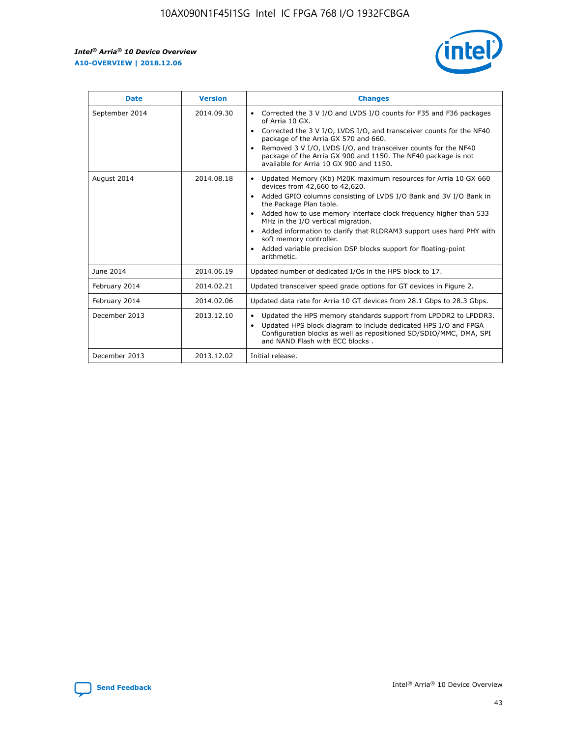r



| <b>Date</b>    | <b>Version</b> | <b>Changes</b>                                                                                                                                                                                                                                                                                                                                                                                                                                                                                                                                      |
|----------------|----------------|-----------------------------------------------------------------------------------------------------------------------------------------------------------------------------------------------------------------------------------------------------------------------------------------------------------------------------------------------------------------------------------------------------------------------------------------------------------------------------------------------------------------------------------------------------|
| September 2014 | 2014.09.30     | Corrected the 3 V I/O and LVDS I/O counts for F35 and F36 packages<br>$\bullet$<br>of Arria 10 GX.<br>Corrected the 3 V I/O, LVDS I/O, and transceiver counts for the NF40<br>$\bullet$<br>package of the Arria GX 570 and 660.<br>Removed 3 V I/O, LVDS I/O, and transceiver counts for the NF40<br>$\bullet$<br>package of the Arria GX 900 and 1150. The NF40 package is not<br>available for Arria 10 GX 900 and 1150.                                                                                                                          |
| August 2014    | 2014.08.18     | Updated Memory (Kb) M20K maximum resources for Arria 10 GX 660<br>devices from 42,660 to 42,620.<br>Added GPIO columns consisting of LVDS I/O Bank and 3V I/O Bank in<br>$\bullet$<br>the Package Plan table.<br>Added how to use memory interface clock frequency higher than 533<br>$\bullet$<br>MHz in the I/O vertical migration.<br>Added information to clarify that RLDRAM3 support uses hard PHY with<br>$\bullet$<br>soft memory controller.<br>Added variable precision DSP blocks support for floating-point<br>$\bullet$<br>arithmetic. |
| June 2014      | 2014.06.19     | Updated number of dedicated I/Os in the HPS block to 17.                                                                                                                                                                                                                                                                                                                                                                                                                                                                                            |
| February 2014  | 2014.02.21     | Updated transceiver speed grade options for GT devices in Figure 2.                                                                                                                                                                                                                                                                                                                                                                                                                                                                                 |
| February 2014  | 2014.02.06     | Updated data rate for Arria 10 GT devices from 28.1 Gbps to 28.3 Gbps.                                                                                                                                                                                                                                                                                                                                                                                                                                                                              |
| December 2013  | 2013.12.10     | Updated the HPS memory standards support from LPDDR2 to LPDDR3.<br>Updated HPS block diagram to include dedicated HPS I/O and FPGA<br>$\bullet$<br>Configuration blocks as well as repositioned SD/SDIO/MMC, DMA, SPI<br>and NAND Flash with ECC blocks.                                                                                                                                                                                                                                                                                            |
| December 2013  | 2013.12.02     | Initial release.                                                                                                                                                                                                                                                                                                                                                                                                                                                                                                                                    |